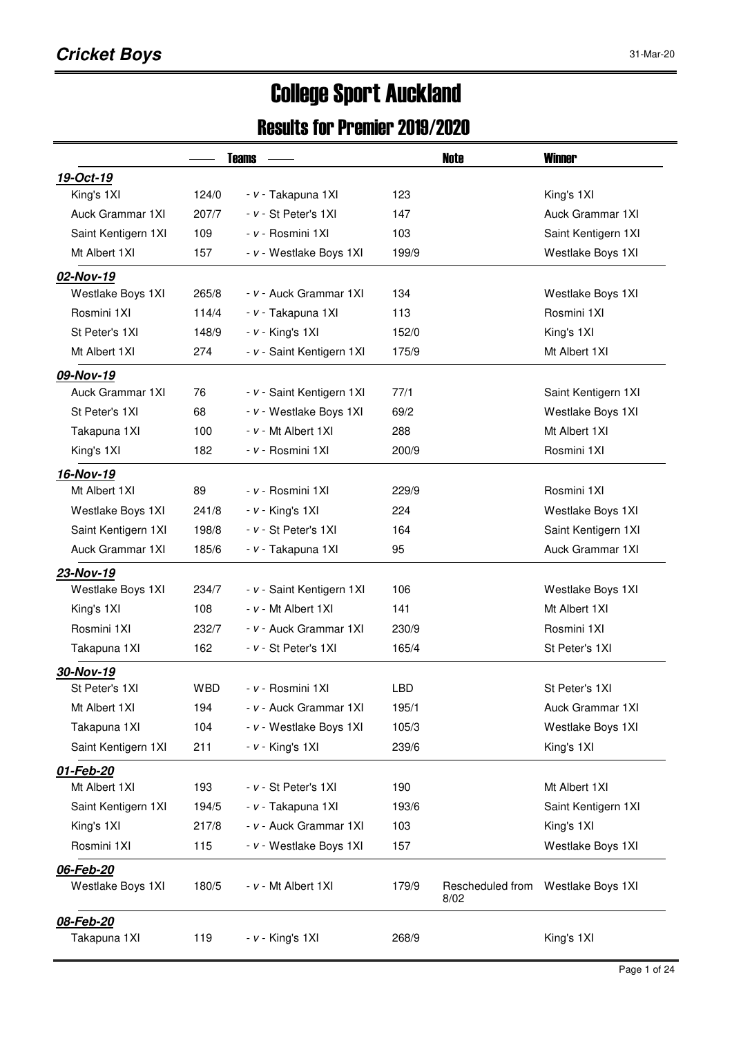# College Sport Auckland

#### Results for Premier 2019/2020

|                           |            | <b>Teams</b>              | Note                              | <b>Winner</b>       |  |  |
|---------------------------|------------|---------------------------|-----------------------------------|---------------------|--|--|
| 19-Oct-19                 |            |                           |                                   |                     |  |  |
| King's 1XI                | 124/0      | - v - Takapuna 1XI        | 123                               | King's 1XI          |  |  |
| Auck Grammar 1XI          | 207/7      | $- v - St$ Peter's 1XI    | 147                               | Auck Grammar 1XI    |  |  |
| Saint Kentigern 1XI       | 109        | - v - Rosmini 1XI         | 103                               | Saint Kentigern 1XI |  |  |
| Mt Albert 1XI             | 157        | - v - Westlake Boys 1XI   | 199/9                             | Westlake Boys 1XI   |  |  |
| 02-Nov-19                 |            |                           |                                   |                     |  |  |
| Westlake Boys 1XI         | 265/8      | - v - Auck Grammar 1XI    | 134                               | Westlake Boys 1XI   |  |  |
| Rosmini 1XI               | 114/4      | - v - Takapuna 1XI        | 113                               | Rosmini 1XI         |  |  |
| St Peter's 1XI            | 148/9      | $- v -$ King's 1XI        | 152/0                             | King's 1XI          |  |  |
| Mt Albert 1XI             | 274        | - v - Saint Kentigern 1XI | 175/9                             | Mt Albert 1XI       |  |  |
| 09-Nov-19                 |            |                           |                                   |                     |  |  |
| Auck Grammar 1XI          | 76         | - v - Saint Kentigern 1XI | 77/1                              | Saint Kentigern 1XI |  |  |
| St Peter's 1XI            | 68         | - v - Westlake Boys 1XI   | 69/2                              | Westlake Boys 1XI   |  |  |
| Takapuna 1XI              | 100        | $- v - Mt$ Albert 1XI     | 288                               | Mt Albert 1XI       |  |  |
| King's 1XI                | 182        | - v - Rosmini 1XI         | 200/9                             | Rosmini 1XI         |  |  |
| 16-Nov-19                 |            |                           |                                   |                     |  |  |
| Mt Albert 1XI             | 89         | - v - Rosmini 1XI         | 229/9                             | Rosmini 1XI         |  |  |
| Westlake Boys 1XI         | 241/8      | $- v -$ King's 1XI        | 224                               | Westlake Boys 1XI   |  |  |
| Saint Kentigern 1XI       | 198/8      | - v - St Peter's 1XI      | 164                               | Saint Kentigern 1XI |  |  |
| Auck Grammar 1XI          | 185/6      | - v - Takapuna 1XI        | 95                                | Auck Grammar 1XI    |  |  |
| 23-Nov-19                 |            |                           |                                   |                     |  |  |
| Westlake Boys 1XI         | 234/7      | - v - Saint Kentigern 1XI | 106                               | Westlake Boys 1XI   |  |  |
| King's 1XI                | 108        | $- v - Mt$ Albert 1XI     | 141                               | Mt Albert 1XI       |  |  |
| Rosmini 1XI               | 232/7      | - v - Auck Grammar 1XI    | 230/9                             | Rosmini 1XI         |  |  |
| Takapuna 1XI              | 162        | - v - St Peter's 1XI      | 165/4                             | St Peter's 1XI      |  |  |
| 30-Nov-19                 |            |                           |                                   |                     |  |  |
| St Peter's 1XI            | <b>WBD</b> | - v - Rosmini 1XI         | <b>LBD</b>                        | St Peter's 1XI      |  |  |
| Mt Albert 1XI             | 194        | - v - Auck Grammar 1XI    | 195/1                             | Auck Grammar 1XI    |  |  |
| Takapuna 1XI              | 104        | - v - Westlake Boys 1XI   | 105/3                             | Westlake Boys 1XI   |  |  |
| Saint Kentigern 1XI       | 211        | $- v -$ King's 1XI        | 239/6                             | King's 1XI          |  |  |
| 01-Feb-20                 |            |                           |                                   |                     |  |  |
| Mt Albert 1XI             | 193        | - v - St Peter's 1XI      | 190                               | Mt Albert 1XI       |  |  |
| Saint Kentigern 1XI       | 194/5      | - v - Takapuna 1XI        | 193/6                             | Saint Kentigern 1XI |  |  |
| King's 1XI                | 217/8      | - v - Auck Grammar 1XI    | 103                               | King's 1XI          |  |  |
| Rosmini 1XI               | 115        | - v - Westlake Boys 1XI   | 157                               | Westlake Boys 1XI   |  |  |
| 06-Feb-20                 |            |                           |                                   |                     |  |  |
| Westlake Boys 1XI         | 180/5      | - v - Mt Albert 1XI       | 179/9<br>Rescheduled from<br>8/02 | Westlake Boys 1XI   |  |  |
| 08-Feb-20<br>Takapuna 1XI | 119        | $- v -$ King's 1XI        | 268/9                             | King's 1XI          |  |  |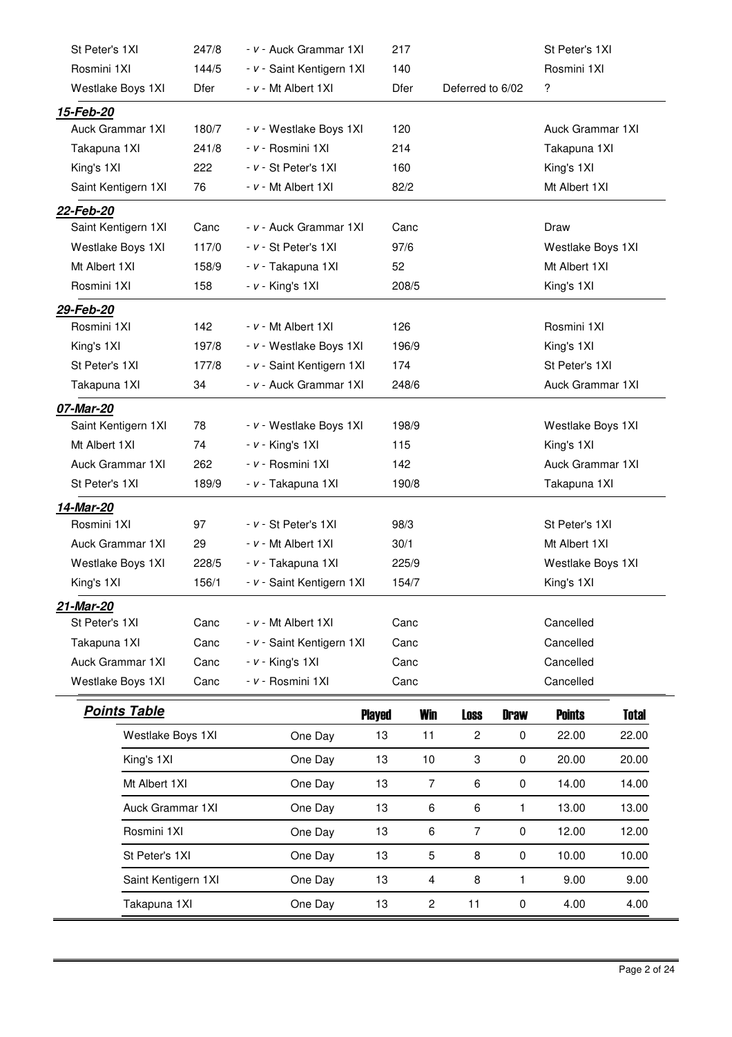| St Peter's 1XI      | 247/8 | - v - Auck Grammar 1XI    | 217           |                |                  |             | St Peter's 1XI          |              |
|---------------------|-------|---------------------------|---------------|----------------|------------------|-------------|-------------------------|--------------|
| Rosmini 1XI         | 144/5 | - v - Saint Kentigern 1XI | 140           |                |                  |             | Rosmini 1XI             |              |
| Westlake Boys 1XI   | Dfer  | - v - Mt Albert 1XI       | Dfer          |                | Deferred to 6/02 |             | ?                       |              |
| <u>15-Feb-20</u>    |       |                           |               |                |                  |             |                         |              |
| Auck Grammar 1XI    | 180/7 | - v - Westlake Boys 1XI   | 120           |                |                  |             | Auck Grammar 1XI        |              |
| Takapuna 1XI        | 241/8 | - v - Rosmini 1XI         | 214           |                |                  |             | Takapuna 1XI            |              |
| King's 1XI          | 222   | - v - St Peter's 1XI      | 160           |                |                  |             | King's 1XI              |              |
| Saint Kentigern 1XI | 76    | - v - Mt Albert 1XI       | 82/2          |                |                  |             | Mt Albert 1XI           |              |
| 22-Feb-20           |       |                           |               |                |                  |             |                         |              |
| Saint Kentigern 1XI | Canc  | - v - Auck Grammar 1XI    | Canc          |                |                  |             | Draw                    |              |
| Westlake Boys 1XI   | 117/0 | - v - St Peter's 1XI      | 97/6          |                |                  |             | Westlake Boys 1XI       |              |
| Mt Albert 1XI       | 158/9 | - v - Takapuna 1XI        | 52            |                |                  |             | Mt Albert 1XI           |              |
| Rosmini 1XI         | 158   | $- v -$ King's 1XI        | 208/5         |                |                  |             | King's 1XI              |              |
| 29-Feb-20           |       |                           |               |                |                  |             |                         |              |
| Rosmini 1XI         | 142   | - v - Mt Albert 1XI       | 126           |                |                  |             | Rosmini 1XI             |              |
| King's 1XI          | 197/8 | - v - Westlake Boys 1XI   | 196/9         |                |                  |             | King's 1XI              |              |
| St Peter's 1XI      | 177/8 | - v - Saint Kentigern 1XI | 174           |                |                  |             | St Peter's 1XI          |              |
| Takapuna 1XI        | 34    | - v - Auck Grammar 1XI    | 248/6         |                |                  |             | Auck Grammar 1XI        |              |
| 07-Mar-20           |       |                           |               |                |                  |             |                         |              |
| Saint Kentigern 1XI | 78    | - v - Westlake Boys 1XI   | 198/9         |                |                  |             | Westlake Boys 1XI       |              |
| Mt Albert 1XI       | 74    | $- v -$ King's 1XI        | 115           |                |                  |             | King's 1XI              |              |
| Auck Grammar 1XI    | 262   | - v - Rosmini 1XI         | 142           |                |                  |             | <b>Auck Grammar 1XI</b> |              |
| St Peter's 1XI      | 189/9 | - v - Takapuna 1XI        | 190/8         |                |                  |             | Takapuna 1XI            |              |
| 14-Mar-20           |       |                           |               |                |                  |             |                         |              |
| Rosmini 1XI         | 97    | - v - St Peter's 1XI      | 98/3          |                |                  |             | St Peter's 1XI          |              |
| Auck Grammar 1XI    | 29    | - v - Mt Albert 1XI       | 30/1          |                |                  |             | Mt Albert 1XI           |              |
| Westlake Boys 1XI   | 228/5 | - v - Takapuna 1XI        | 225/9         |                |                  |             | Westlake Boys 1XI       |              |
| King's 1XI          | 156/1 | - v - Saint Kentigern 1XI | 154/7         |                |                  |             | King's 1XI              |              |
| 21-Mar-20           |       |                           |               |                |                  |             |                         |              |
| St Peter's 1XI      | Canc  | - v - Mt Albert 1XI       | Canc          |                |                  |             | Cancelled               |              |
| Takapuna 1XI        | Canc  | - v - Saint Kentigern 1XI | Canc          |                |                  |             | Cancelled               |              |
| Auck Grammar 1XI    | Canc  | $- v -$ King's 1XI        | Canc          |                |                  |             | Cancelled               |              |
| Westlake Boys 1XI   | Canc  | - v - Rosmini 1XI         | Canc          |                |                  |             | Cancelled               |              |
| <b>Points Table</b> |       |                           | <b>Played</b> | <b>Win</b>     | <b>Loss</b>      | <b>Draw</b> | <b>Points</b>           | <b>Total</b> |
| Westlake Boys 1XI   |       | One Day                   | 13            | 11             | $\overline{c}$   | 0           | 22.00                   | 22.00        |
| King's 1XI          |       | One Day                   | 13            | 10             | 3                | 0           | 20.00                   | 20.00        |
| Mt Albert 1XI       |       | One Day                   | 13            | $\overline{7}$ | 6                | 0           | 14.00                   | 14.00        |
| Auck Grammar 1XI    |       | One Day                   | 13            | 6              | 6                | 1           | 13.00                   | 13.00        |
| Rosmini 1XI         |       |                           | 13            | 6              |                  |             | 12.00                   | 12.00        |
|                     |       | One Day                   |               |                | 7                | 0           |                         |              |
| St Peter's 1XI      |       | One Day                   | 13            | 5              | 8                | 0           | 10.00                   | 10.00        |
| Saint Kentigern 1XI |       | One Day                   | 13            | 4              | 8                | 1           | 9.00                    | 9.00         |
| Takapuna 1XI        |       | One Day                   | 13            | $\overline{c}$ | 11               | 0           | 4.00                    | 4.00         |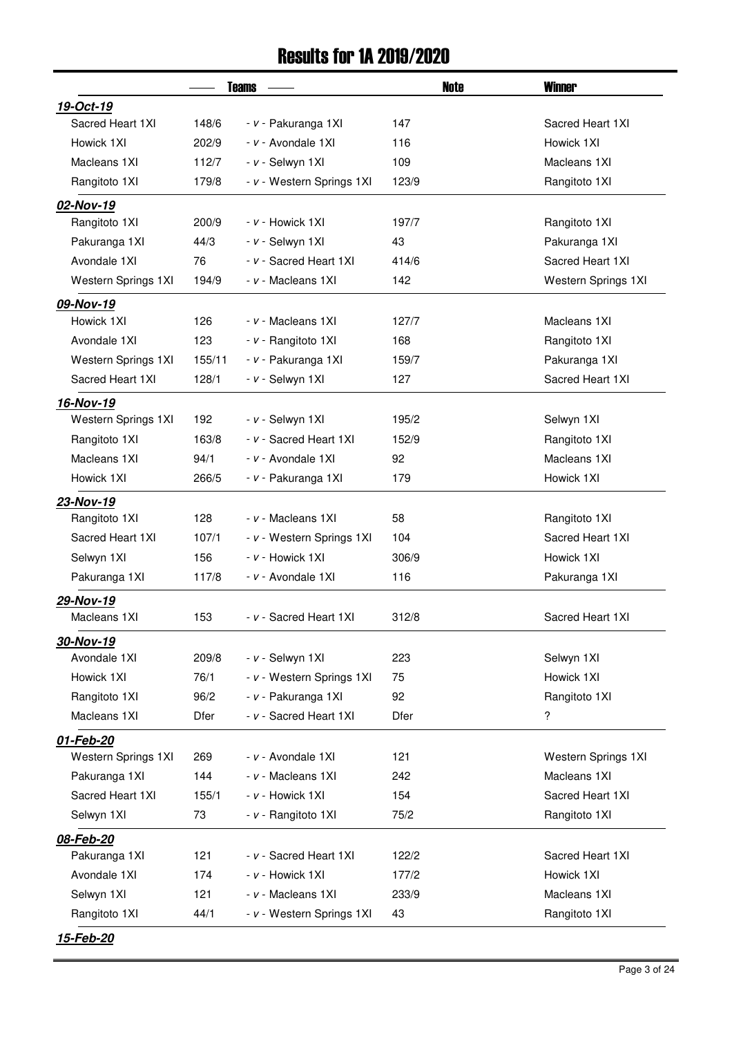#### Results for 1A 2019/2020

|                     |        | <b>Teams</b>              | Note  | <b>Winner</b>       |  |  |
|---------------------|--------|---------------------------|-------|---------------------|--|--|
| 19-Oct-19           |        |                           |       |                     |  |  |
| Sacred Heart 1XI    | 148/6  | - v - Pakuranga 1XI       | 147   | Sacred Heart 1XI    |  |  |
| Howick 1XI          | 202/9  | - v - Avondale 1XI        | 116   | Howick 1XI          |  |  |
| Macleans 1XI        | 112/7  | - v - Selwyn 1XI          | 109   | Macleans 1XI        |  |  |
| Rangitoto 1XI       | 179/8  | - v - Western Springs 1XI | 123/9 | Rangitoto 1XI       |  |  |
| 02-Nov-19           |        |                           |       |                     |  |  |
| Rangitoto 1XI       | 200/9  | - v - Howick 1XI          | 197/7 | Rangitoto 1XI       |  |  |
| Pakuranga 1XI       | 44/3   | - v - Selwyn 1XI          | 43    | Pakuranga 1XI       |  |  |
| Avondale 1XI        | 76     | - v - Sacred Heart 1XI    | 414/6 | Sacred Heart 1XI    |  |  |
| Western Springs 1XI | 194/9  | - v - Macleans 1XI        | 142   | Western Springs 1XI |  |  |
| 09-Nov-19           |        |                           |       |                     |  |  |
| Howick 1XI          | 126    | - v - Macleans 1XI        | 127/7 | Macleans 1XI        |  |  |
| Avondale 1XI        | 123    | - v - Rangitoto 1XI       | 168   | Rangitoto 1XI       |  |  |
| Western Springs 1XI | 155/11 | - v - Pakuranga 1XI       | 159/7 | Pakuranga 1XI       |  |  |
| Sacred Heart 1XI    | 128/1  | - v - Selwyn 1XI          | 127   | Sacred Heart 1XI    |  |  |
| 16-Nov-19           |        |                           |       |                     |  |  |
| Western Springs 1XI | 192    | - v - Selwyn 1XI          | 195/2 | Selwyn 1XI          |  |  |
| Rangitoto 1XI       | 163/8  | - v - Sacred Heart 1XI    | 152/9 | Rangitoto 1XI       |  |  |
| Macleans 1XI        | 94/1   | - v - Avondale 1XI        | 92    | Macleans 1XI        |  |  |
| Howick 1XI          | 266/5  | - v - Pakuranga 1XI       | 179   | Howick 1XI          |  |  |
| 23-Nov-19           |        |                           |       |                     |  |  |
| Rangitoto 1XI       | 128    | - v - Macleans 1XI        | 58    | Rangitoto 1XI       |  |  |
| Sacred Heart 1XI    | 107/1  | - v - Western Springs 1XI | 104   | Sacred Heart 1XI    |  |  |
| Selwyn 1XI          | 156    | - v - Howick 1XI          | 306/9 | Howick 1XI          |  |  |
| Pakuranga 1XI       | 117/8  | - v - Avondale 1XI        | 116   | Pakuranga 1XI       |  |  |
| 29-Nov-19           |        |                           |       |                     |  |  |
| Macleans 1XI        | 153    | - v - Sacred Heart 1XI    | 312/8 | Sacred Heart 1XI    |  |  |
| 30-Nov-19           |        |                           |       |                     |  |  |
| Avondale 1XI        | 209/8  | - v - Selwyn 1XI          | 223   | Selwyn 1XI          |  |  |
| Howick 1XI          | 76/1   | - v - Western Springs 1XI | 75    | Howick 1XI          |  |  |
| Rangitoto 1XI       | 96/2   | - v - Pakuranga 1XI       | 92    | Rangitoto 1XI       |  |  |
| Macleans 1XI        | Dfer   | - v - Sacred Heart 1XI    | Dfer  | ?                   |  |  |
| 01-Feb-20           |        |                           |       |                     |  |  |
| Western Springs 1XI | 269    | - v - Avondale 1XI        | 121   | Western Springs 1XI |  |  |
| Pakuranga 1XI       | 144    | - v - Macleans 1XI        | 242   | Macleans 1XI        |  |  |
| Sacred Heart 1XI    | 155/1  | - v - Howick 1XI          | 154   | Sacred Heart 1XI    |  |  |
| Selwyn 1XI          | 73     | - v - Rangitoto 1XI       | 75/2  | Rangitoto 1XI       |  |  |
| 08-Feb-20           |        |                           |       |                     |  |  |
| Pakuranga 1XI       | 121    | - v - Sacred Heart 1XI    | 122/2 | Sacred Heart 1XI    |  |  |
| Avondale 1XI        | 174    | $- v -$ Howick 1XI        | 177/2 | Howick 1XI          |  |  |
| Selwyn 1XI          | 121    | - v - Macleans 1XI        | 233/9 | Macleans 1XI        |  |  |
| Rangitoto 1XI       | 44/1   | - v - Western Springs 1XI | 43    | Rangitoto 1XI       |  |  |
| 15-Feb-20           |        |                           |       |                     |  |  |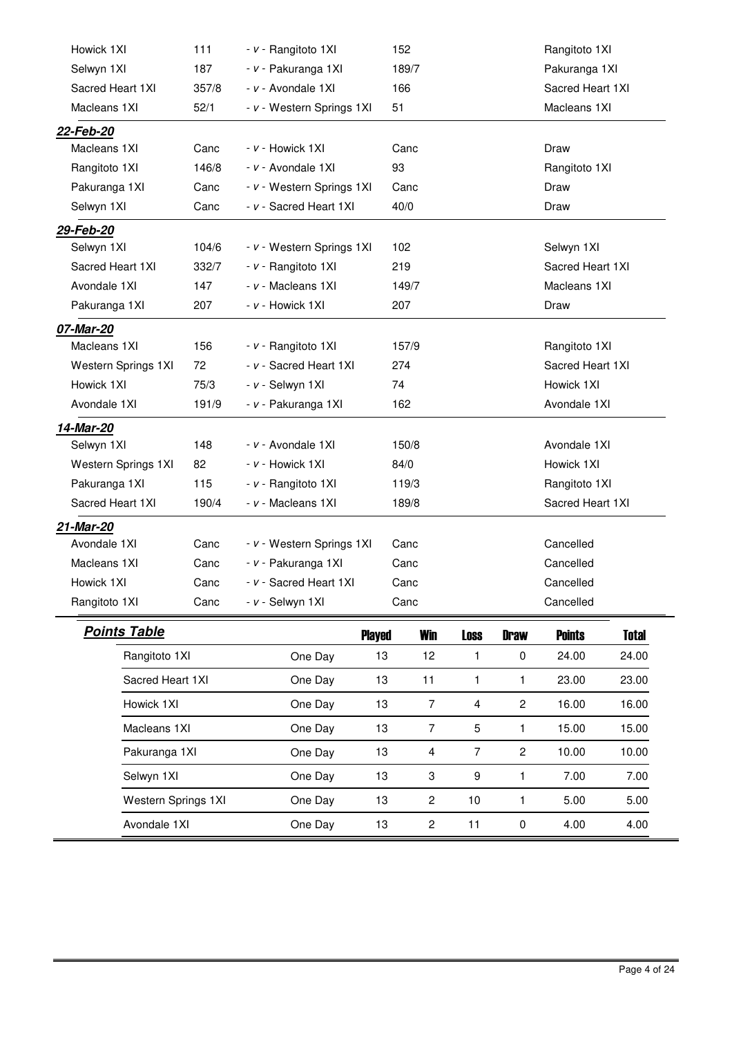| Howick 1XI          |                     | 111   | - v - Rangitoto 1XI       |               | 152            |                |                | Rangitoto 1XI    |              |
|---------------------|---------------------|-------|---------------------------|---------------|----------------|----------------|----------------|------------------|--------------|
| Selwyn 1XI          |                     | 187   | - v - Pakuranga 1XI       |               | 189/7          |                |                | Pakuranga 1XI    |              |
| Sacred Heart 1XI    |                     | 357/8 | - v - Avondale 1XI        |               | 166            |                |                | Sacred Heart 1XI |              |
| Macleans 1XI        |                     | 52/1  | - v - Western Springs 1XI |               | 51             |                |                | Macleans 1XI     |              |
| 22-Feb-20           |                     |       |                           |               |                |                |                |                  |              |
| Macleans 1XI        |                     | Canc  | - v - Howick 1XI          |               | Canc           |                |                | Draw             |              |
| Rangitoto 1XI       |                     | 146/8 | - v - Avondale 1XI        |               | 93             |                |                | Rangitoto 1XI    |              |
| Pakuranga 1XI       |                     | Canc  | - v - Western Springs 1XI |               | Canc           |                |                | Draw             |              |
| Selwyn 1XI          |                     | Canc  | - v - Sacred Heart 1XI    |               | 40/0           |                |                | Draw             |              |
| 29-Feb-20           |                     |       |                           |               |                |                |                |                  |              |
| Selwyn 1XI          |                     | 104/6 | - v - Western Springs 1XI |               | 102            |                |                | Selwyn 1XI       |              |
| Sacred Heart 1XI    |                     | 332/7 | - v - Rangitoto 1XI       |               | 219            |                |                | Sacred Heart 1XI |              |
| Avondale 1XI        |                     | 147   | - v - Macleans 1XI        |               | 149/7          |                |                | Macleans 1XI     |              |
| Pakuranga 1XI       |                     | 207   | - v - Howick 1XI          |               | 207            |                |                | Draw             |              |
| 07-Mar-20           |                     |       |                           |               |                |                |                |                  |              |
| Macleans 1XI        |                     | 156   | - v - Rangitoto 1XI       |               | 157/9          |                |                | Rangitoto 1XI    |              |
| Western Springs 1XI |                     | 72    | - v - Sacred Heart 1XI    |               | 274            |                |                | Sacred Heart 1XI |              |
| Howick 1XI          |                     | 75/3  | - v - Selwyn 1XI          |               | 74             |                |                | Howick 1XI       |              |
| Avondale 1XI        |                     | 191/9 | - v - Pakuranga 1XI       |               | 162            |                |                | Avondale 1XI     |              |
| 14-Mar-20           |                     |       |                           |               |                |                |                |                  |              |
| Selwyn 1XI          |                     | 148   | - v - Avondale 1XI        |               | 150/8          |                |                | Avondale 1XI     |              |
| Western Springs 1XI |                     | 82    | - v - Howick 1XI          |               | 84/0           |                |                | Howick 1XI       |              |
| Pakuranga 1XI       |                     | 115   | - v - Rangitoto 1XI       |               | 119/3          |                |                | Rangitoto 1XI    |              |
| Sacred Heart 1XI    |                     | 190/4 | - v - Macleans 1XI        |               | 189/8          |                |                | Sacred Heart 1XI |              |
| 21-Mar-20           |                     |       |                           |               |                |                |                |                  |              |
| Avondale 1XI        |                     | Canc  | - v - Western Springs 1XI |               | Canc           |                |                | Cancelled        |              |
| Macleans 1XI        |                     | Canc  | - v - Pakuranga 1XI       |               | Canc           |                |                | Cancelled        |              |
| Howick 1XI          |                     | Canc  | - v - Sacred Heart 1XI    |               | Canc           |                |                | Cancelled        |              |
| Rangitoto 1XI       |                     | Canc  | - v - Selwyn 1XI          |               | Canc           |                |                | Cancelled        |              |
| <b>Points Table</b> |                     |       |                           | <b>Played</b> | <b>Win</b>     | <b>Loss</b>    | <b>Draw</b>    | <b>Points</b>    | <b>Total</b> |
|                     | Rangitoto 1XI       |       | One Day                   | 13            | 12             | 1              | $\pmb{0}$      | 24.00            | 24.00        |
|                     | Sacred Heart 1XI    |       | One Day                   | 13            | 11             | 1              | 1              | 23.00            | 23.00        |
|                     | Howick 1XI          |       | One Day                   | 13            | $\overline{7}$ | $\overline{4}$ | $\overline{c}$ | 16.00            | 16.00        |
|                     | Macleans 1XI        |       | One Day                   | 13            | $\overline{7}$ | 5              | 1              | 15.00            | 15.00        |
|                     | Pakuranga 1XI       |       | One Day                   | 13            | 4              | $\overline{7}$ | $\overline{c}$ | 10.00            | 10.00        |
|                     | Selwyn 1XI          |       | One Day                   | 13            | 3              | 9              | 1              | 7.00             | 7.00         |
|                     | Western Springs 1XI |       | One Day                   | 13            | $\mathbf{2}$   | 10             | 1              | 5.00             | 5.00         |
|                     |                     |       |                           |               |                |                |                |                  |              |

Avondale 1XI One Day 13 2 11 0 4.00 4.00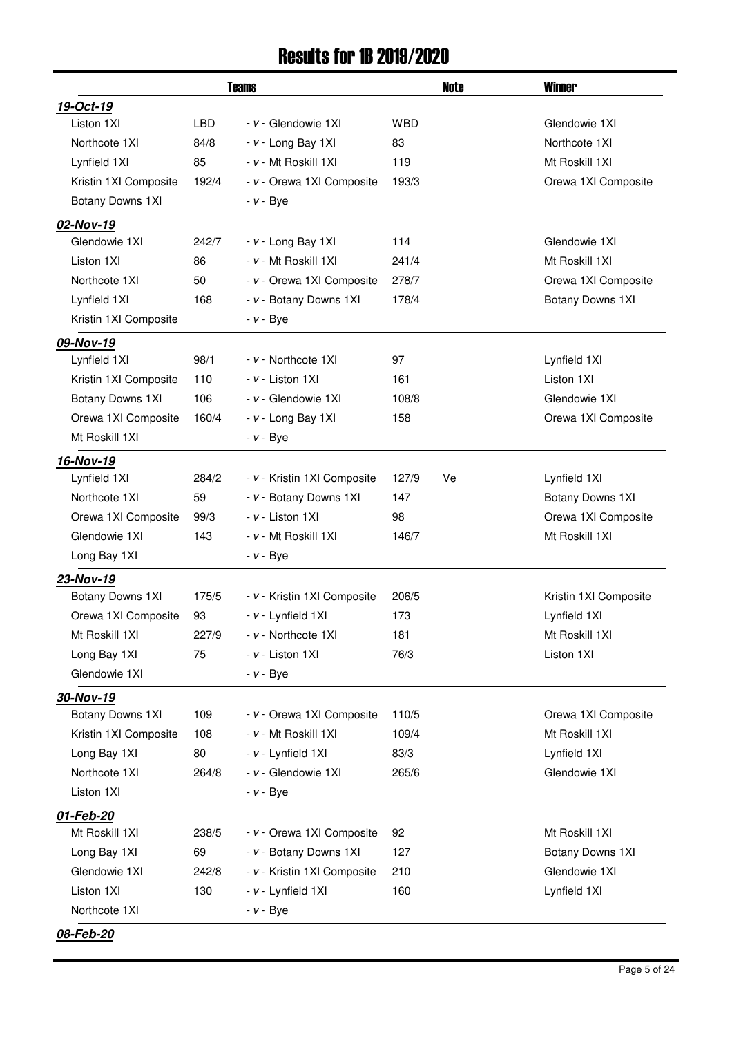#### Results for 1B 2019/2020

|                       |       | <b>Teams</b>                | Note        | <b>Winner</b>         |
|-----------------------|-------|-----------------------------|-------------|-----------------------|
| 19-Oct-19             |       |                             |             |                       |
| Liston 1XI            | LBD   | - v - Glendowie 1XI         | <b>WBD</b>  | Glendowie 1XI         |
| Northcote 1XI         | 84/8  | - v - Long Bay 1XI          | 83          | Northcote 1XI         |
| Lynfield 1XI          | 85    | - v - Mt Roskill 1XI        | 119         | Mt Roskill 1XI        |
| Kristin 1XI Composite | 192/4 | - v - Orewa 1XI Composite   | 193/3       | Orewa 1XI Composite   |
| Botany Downs 1XI      |       | $- v - Bye$                 |             |                       |
| 02-Nov-19             |       |                             |             |                       |
| Glendowie 1XI         | 242/7 | - v - Long Bay 1XI          | 114         | Glendowie 1XI         |
| Liston 1XI            | 86    | - v - Mt Roskill 1XI        | 241/4       | Mt Roskill 1XI        |
| Northcote 1XI         | 50    | - v - Orewa 1XI Composite   | 278/7       | Orewa 1XI Composite   |
| Lynfield 1XI          | 168   | - v - Botany Downs 1XI      | 178/4       | Botany Downs 1XI      |
| Kristin 1XI Composite |       | $- v - Bye$                 |             |                       |
| 09-Nov-19             |       |                             |             |                       |
| Lynfield 1XI          | 98/1  | - v - Northcote 1XI         | 97          | Lynfield 1XI          |
| Kristin 1XI Composite | 110   | - v - Liston 1XI            | 161         | Liston 1XI            |
| Botany Downs 1XI      | 106   | - v - Glendowie 1XI         | 108/8       | Glendowie 1XI         |
| Orewa 1XI Composite   | 160/4 | - v - Long Bay 1XI          | 158         | Orewa 1XI Composite   |
| Mt Roskill 1XI        |       | $- v - Bye$                 |             |                       |
| 16-Nov-19             |       |                             |             |                       |
| Lynfield 1XI          | 284/2 | - v - Kristin 1XI Composite | 127/9<br>Ve | Lynfield 1XI          |
| Northcote 1XI         | 59    | - v - Botany Downs 1XI      | 147         | Botany Downs 1XI      |
| Orewa 1XI Composite   | 99/3  | - v - Liston 1XI            | 98          | Orewa 1XI Composite   |
| Glendowie 1XI         | 143   | - v - Mt Roskill 1XI        | 146/7       | Mt Roskill 1XI        |
| Long Bay 1XI          |       | $- v - Bye$                 |             |                       |
| 23-Nov-19             |       |                             |             |                       |
| Botany Downs 1XI      | 175/5 | - v - Kristin 1XI Composite | 206/5       | Kristin 1XI Composite |
| Orewa 1XI Composite   | 93    | - v - Lynfield 1XI          | 173         | Lynfield 1XI          |
| Mt Roskill 1XI        | 227/9 | - v - Northcote 1XI         | 181         | Mt Roskill 1XI        |
| Long Bay 1XI          | 75    | - v - Liston 1XI            | 76/3        | Liston 1XI            |
| Glendowie 1XI         |       | $- v - Bye$                 |             |                       |
| 30-Nov-19             |       |                             |             |                       |
| Botany Downs 1XI      | 109   | - v - Orewa 1XI Composite   | 110/5       | Orewa 1XI Composite   |
| Kristin 1XI Composite | 108   | - v - Mt Roskill 1XI        | 109/4       | Mt Roskill 1XI        |
| Long Bay 1XI          | 80    | - v - Lynfield 1XI          | 83/3        | Lynfield 1XI          |
| Northcote 1XI         | 264/8 | - v - Glendowie 1XI         | 265/6       | Glendowie 1XI         |
| Liston 1XI            |       | $- v - Bye$                 |             |                       |
| 01-Feb-20             |       |                             |             |                       |
| Mt Roskill 1XI        | 238/5 | - v - Orewa 1XI Composite   | 92          | Mt Roskill 1XI        |
| Long Bay 1XI          | 69    | - v - Botany Downs 1XI      | 127         | Botany Downs 1XI      |
| Glendowie 1XI         | 242/8 | - v - Kristin 1XI Composite | 210         | Glendowie 1XI         |
| Liston 1XI            | 130   | - v - Lynfield 1XI          | 160         | Lynfield 1XI          |
| Northcote 1XI         |       | $- v - Bye$                 |             |                       |
| 08-Feb-20             |       |                             |             |                       |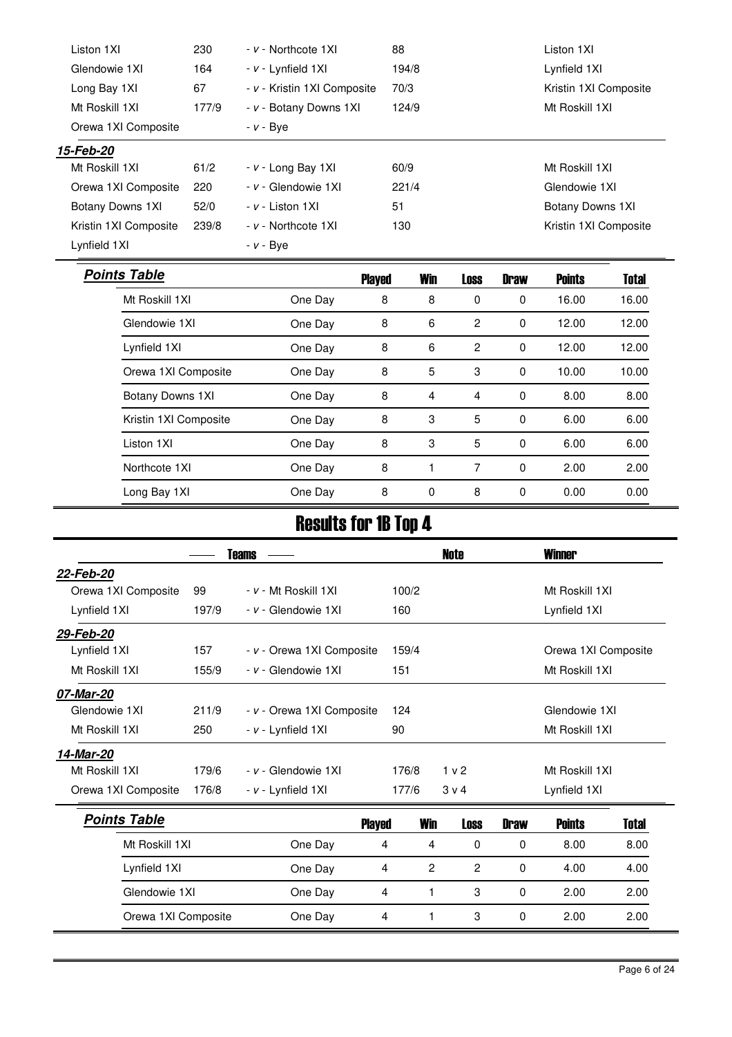| Liston 1XI            | 230                                      | - v - Northcote 1XI         | 88    |                |                |             | Liston 1XI            |              |
|-----------------------|------------------------------------------|-----------------------------|-------|----------------|----------------|-------------|-----------------------|--------------|
| Glendowie 1XI         | 164                                      | - v - Lynfield 1XI          | 194/8 |                |                |             | Lynfield 1XI          |              |
| Long Bay 1XI          | 67                                       | - v - Kristin 1XI Composite |       | 70/3           |                |             | Kristin 1XI Composite |              |
| Mt Roskill 1XI        | - v - Botany Downs 1XI<br>124/9<br>177/9 |                             |       | Mt Roskill 1XI |                |             |                       |              |
| Orewa 1XI Composite   |                                          | $- v - Bye$                 |       |                |                |             |                       |              |
| 15-Feb-20             |                                          |                             |       |                |                |             |                       |              |
| Mt Roskill 1XI        | 61/2                                     | - v - Long Bay 1XI          | 60/9  |                |                |             | Mt Roskill 1XI        |              |
| Orewa 1XI Composite   | 220                                      | - v - Glendowie 1XI         | 221/4 |                |                |             | Glendowie 1XI         |              |
| Botany Downs 1XI      | 52/0                                     | - v - Liston 1XI            | 51    |                |                |             | Botany Downs 1XI      |              |
| Kristin 1XI Composite | 239/8                                    | - v - Northcote 1XI         | 130   |                |                |             | Kristin 1XI Composite |              |
| Lynfield 1XI          |                                          | $- v - Bve$                 |       |                |                |             |                       |              |
| <b>Points Table</b>   |                                          | <b>Played</b>               |       | <b>Win</b>     | <b>Loss</b>    | <b>Draw</b> | <b>Points</b>         | <b>Total</b> |
| Mt Roskill 1XI        |                                          | One Day                     | 8     | 8              | 0              | $\mathbf 0$ | 16.00                 | 16.00        |
| Glendowie 1XI         |                                          | One Day                     | 8     | 6              | $\overline{2}$ | $\mathbf 0$ | 12.00                 | 12.00        |
|                       |                                          |                             |       |                |                |             |                       |              |
| Lynfield 1XI          |                                          | One Day                     | 8     | 6              | $\mathbf{2}$   | $\mathbf 0$ | 12.00                 | 12.00        |
| Orewa 1XI Composite   |                                          | One Day                     | 8     | 5              | 3              | $\mathbf 0$ | 10.00                 | 10.00        |
| Botany Downs 1XI      |                                          | One Day                     | 8     | 4              | 4              | 0           | 8.00                  | 8.00         |
| Kristin 1XI Composite |                                          | One Day                     | 8     | 3              | 5              | $\mathbf 0$ | 6.00                  | 6.00         |
| Liston 1XI            |                                          | One Day                     | 8     | 3              | 5              | $\mathbf 0$ | 6.00                  | 6.00         |

# Results for 1B Top 4

Long Bay 1XI **One Day 8** 0 8 0 0.00 0.00

|                     | Teams |                           |       |                |                |             | <b>Winner</b>       |       |  |
|---------------------|-------|---------------------------|-------|----------------|----------------|-------------|---------------------|-------|--|
| 22-Feb-20           |       |                           |       |                |                |             |                     |       |  |
| Orewa 1XI Composite | 99    | - v - Mt Roskill 1XI      | 100/2 |                |                |             | Mt Roskill 1XI      |       |  |
| Lynfield 1XI        | 197/9 | - v - Glendowie 1XI       | 160   |                |                |             | Lynfield 1XI        |       |  |
| 29-Feb-20           |       |                           |       |                |                |             |                     |       |  |
| Lynfield 1XI        | 157   | - v - Orewa 1XI Composite | 159/4 |                |                |             | Orewa 1XI Composite |       |  |
| Mt Roskill 1XI      | 155/9 | - v - Glendowie 1XI       | 151   |                |                |             | Mt Roskill 1XI      |       |  |
| 07-Mar-20           |       |                           |       |                |                |             |                     |       |  |
| Glendowie 1XI       | 211/9 | - v - Orewa 1XI Composite | 124   |                |                |             | Glendowie 1XI       |       |  |
| Mt Roskill 1XI      | 250   | - v - Lynfield 1XI        | 90    |                |                |             | Mt Roskill 1XI      |       |  |
| 14-Mar-20           |       |                           |       |                |                |             |                     |       |  |
| Mt Roskill 1XI      | 179/6 | - v - Glendowie 1XI       | 176/8 |                | 1 <sub>v</sub> |             | Mt Roskill 1XI      |       |  |
| Orewa 1XI Composite | 176/8 | - v - Lynfield 1XI        | 177/6 |                | $3 \vee 4$     |             | Lynfield 1XI        |       |  |
| <b>Points Table</b> |       | <b>Played</b>             |       | <b>Win</b>     | <b>Loss</b>    | <b>Draw</b> | <b>Points</b>       | Total |  |
| Mt Roskill 1XI      |       | One Day                   | 4     | 4              | 0              | 0           | 8.00                | 8.00  |  |
| Lynfield 1XI        |       | One Day                   | 4     | $\overline{c}$ | $\overline{2}$ | 0           | 4.00                | 4.00  |  |
| Glendowie 1XI       |       | One Day                   | 4     | 1              | 3              | 0           | 2.00                | 2.00  |  |
| Orewa 1XI Composite |       | One Day                   | 4     | 1              | 3              | 0           | 2.00                | 2.00  |  |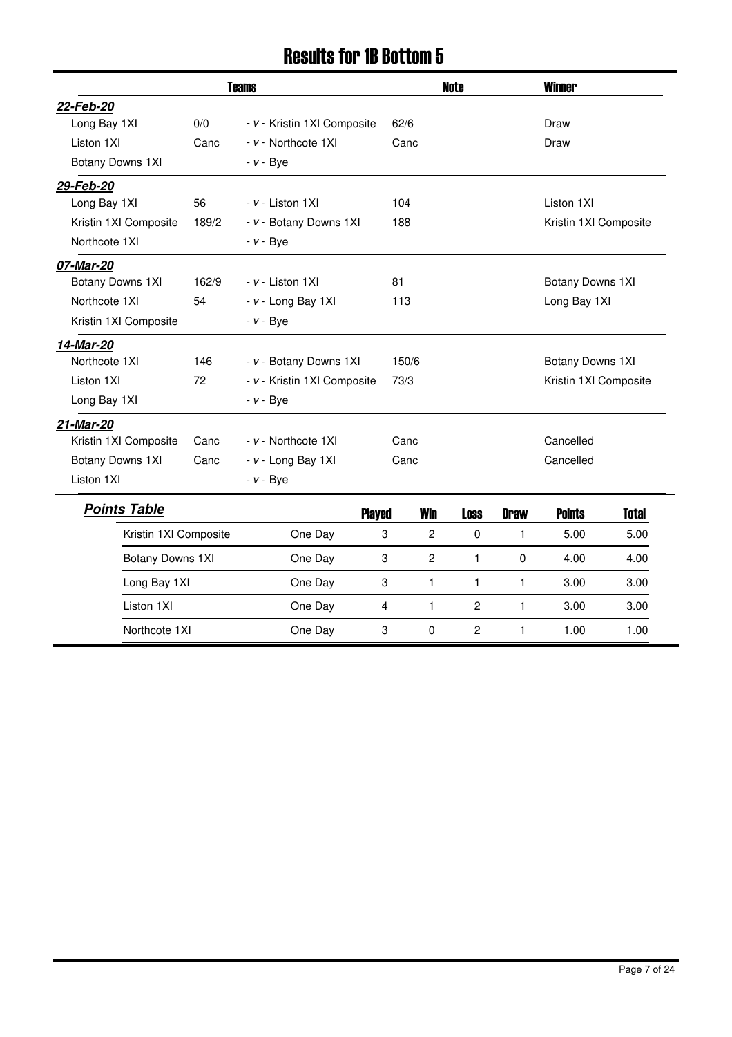#### Results for 1B Bottom 5

|                       | <b>Teams</b> |                             |                  |                | <b>Note</b>           |              | <b>Winner</b>         |              |  |
|-----------------------|--------------|-----------------------------|------------------|----------------|-----------------------|--------------|-----------------------|--------------|--|
| 22-Feb-20             |              |                             |                  |                |                       |              |                       |              |  |
| Long Bay 1XI          | 0/0          | - v - Kristin 1XI Composite | 62/6             |                |                       |              | Draw                  |              |  |
| Liston 1XI            | Canc         | - v - Northcote 1XI         | Canc             |                |                       |              | Draw                  |              |  |
| Botany Downs 1XI      |              | $- v - Bye$                 |                  |                |                       |              |                       |              |  |
| 29-Feb-20             |              |                             |                  |                |                       |              |                       |              |  |
| Long Bay 1XI          | 56           | - v - Liston 1XI            | 104              |                |                       |              | Liston 1XI            |              |  |
| Kristin 1XI Composite | 189/2        | - v - Botany Downs 1XI      | 188              |                | Kristin 1XI Composite |              |                       |              |  |
| Northcote 1XI         |              | $- v - Bye$                 |                  |                |                       |              |                       |              |  |
| 07-Mar-20             |              |                             |                  |                |                       |              |                       |              |  |
| Botany Downs 1XI      | 162/9        | - v - Liston 1XI            | 81               |                |                       |              | Botany Downs 1XI      |              |  |
| Northcote 1XI         | 54           | - v - Long Bay 1XI          | 113              |                |                       |              | Long Bay 1XI          |              |  |
| Kristin 1XI Composite |              | $- v - Bve$                 |                  |                |                       |              |                       |              |  |
| 14-Mar-20             |              |                             |                  |                |                       |              |                       |              |  |
| Northcote 1XI         | 146          | - v - Botany Downs 1XI      | 150/6            |                |                       |              | Botany Downs 1XI      |              |  |
| Liston 1XI            | 72           | - v - Kristin 1XI Composite | 73/3             |                |                       |              | Kristin 1XI Composite |              |  |
| Long Bay 1XI          |              | $- v - Bye$                 |                  |                |                       |              |                       |              |  |
| 21-Mar-20             |              |                             |                  |                |                       |              |                       |              |  |
| Kristin 1XI Composite | Canc         | - v - Northcote 1XI         | Canc             |                |                       |              | Cancelled             |              |  |
| Botany Downs 1XI      | Canc         | - v - Long Bay 1XI          | Canc             |                |                       |              | Cancelled             |              |  |
| Liston 1XI            |              | $- v - Bye$                 |                  |                |                       |              |                       |              |  |
| <b>Points Table</b>   |              | <b>Played</b>               |                  | <b>Win</b>     | <b>Loss</b>           | <b>Draw</b>  | <b>Points</b>         | <b>Total</b> |  |
| Kristin 1XI Composite |              | One Day                     | 3                | $\overline{c}$ | $\mathbf 0$           | $\mathbf{1}$ | 5.00                  | 5.00         |  |
| Botany Downs 1XI      |              | One Day                     | $\boldsymbol{3}$ | $\overline{c}$ | 1                     | $\mathbf 0$  | 4.00                  | 4.00         |  |
| Long Bay 1XI          |              | One Day                     | 3                | 1              | 1                     | $\mathbf{1}$ | 3.00                  | 3.00         |  |
| Liston 1XI            |              | One Day                     | 4                | $\mathbf{1}$   | $\overline{2}$        | $\mathbf{1}$ | 3.00                  | 3.00         |  |
| Northcote 1XI         |              | One Day                     | 3                | 0              | $\overline{c}$        | 1            | 1.00                  | 1.00         |  |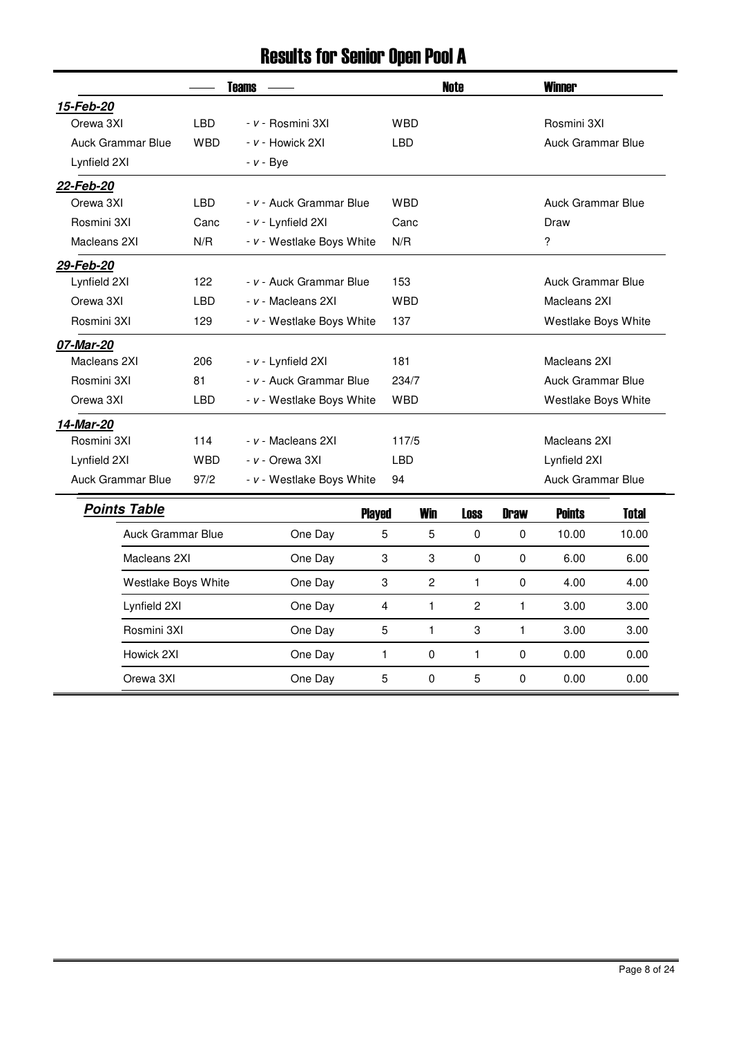### Results for Senior Open Pool A

|                          | <b>Teams</b>             |                           |              |                | <b>Note</b>  | <b>Winner</b>           |                          |              |
|--------------------------|--------------------------|---------------------------|--------------|----------------|--------------|-------------------------|--------------------------|--------------|
| 15-Feb-20                |                          |                           |              |                |              |                         |                          |              |
| Orewa 3XI                | <b>LBD</b>               | - v - Rosmini 3XI         | <b>WBD</b>   |                |              |                         | Rosmini 3XI              |              |
| Auck Grammar Blue        | <b>WBD</b>               | - v - Howick 2XI          | <b>LBD</b>   |                |              |                         | <b>Auck Grammar Blue</b> |              |
| Lynfield 2XI             |                          | - <i>v</i> - Bye          |              |                |              |                         |                          |              |
| 22-Feb-20                |                          |                           |              |                |              |                         |                          |              |
| Orewa 3XI                | <b>LBD</b>               | - v - Auck Grammar Blue   | <b>WBD</b>   |                |              |                         | Auck Grammar Blue        |              |
| Rosmini 3XI              | Canc                     | - v - Lynfield 2XI        | Canc         |                |              |                         | Draw                     |              |
| Macleans 2XI             | N/R                      | - v - Westlake Boys White | N/R          |                |              | $\overline{\mathbf{?}}$ |                          |              |
| 29-Feb-20                |                          |                           |              |                |              |                         |                          |              |
| Lynfield 2XI             | 122                      | - v - Auck Grammar Blue   | 153          |                |              |                         | Auck Grammar Blue        |              |
| Orewa 3XI                | <b>LBD</b>               | - v - Macleans 2XI        | <b>WBD</b>   |                |              |                         | Macleans 2XI             |              |
| Rosmini 3XI              | 129                      | - v - Westlake Boys White | 137          |                |              |                         | Westlake Boys White      |              |
| 07-Mar-20                |                          |                           |              |                |              |                         |                          |              |
| Macleans 2XI             | 206                      | - v - Lynfield 2XI        | 181          |                |              |                         | Macleans 2XI             |              |
| Rosmini 3XI              | 81                       | - v - Auck Grammar Blue   | 234/7        |                |              |                         | Auck Grammar Blue        |              |
| Orewa 3XI                | <b>LBD</b>               | - v - Westlake Boys White | <b>WBD</b>   |                |              |                         | Westlake Boys White      |              |
| 14-Mar-20                |                          |                           |              |                |              |                         |                          |              |
| Rosmini 3XI              | 114                      | - v - Macleans 2XI        | 117/5        |                |              |                         | Macleans 2XI             |              |
| Lynfield 2XI             | <b>WBD</b>               | - v - Orewa 3XI           | <b>LBD</b>   |                |              | Lynfield 2XI            |                          |              |
| <b>Auck Grammar Blue</b> | 97/2                     | - v - Westlake Boys White | 94           |                |              |                         | Auck Grammar Blue        |              |
| <b>Points Table</b>      |                          | <b>Played</b>             |              | <b>Win</b>     | <b>Loss</b>  | <b>Draw</b>             | <b>Points</b>            | <b>Total</b> |
|                          | <b>Auck Grammar Blue</b> | One Day                   | 5            | $\overline{5}$ | 0            | 0                       | 10.00                    | 10.00        |
| Macleans 2XI             |                          | One Day                   | 3            | 3              | 0            | $\mathbf 0$             | 6.00                     | 6.00         |
|                          | Westlake Boys White      | One Day                   | 3            | $\overline{c}$ | $\mathbf{1}$ | $\pmb{0}$               | 4.00                     | 4.00         |
| Lynfield 2XI             |                          | One Day                   | 4            | $\mathbf{1}$   | $\mathbf{2}$ | $\mathbf{1}$            | 3.00                     | 3.00         |
| Rosmini 3XI              |                          | One Day                   | 5            | $\mathbf{1}$   | 3            | $\mathbf{1}$            | 3.00                     | 3.00         |
| Howick 2XI               |                          | One Day                   | $\mathbf{1}$ | 0              | $\mathbf{1}$ | $\pmb{0}$               | 0.00                     | 0.00         |
| Orewa 3XI                |                          | One Day                   | 5            | $\pmb{0}$      | 5            | 0                       | 0.00                     | 0.00         |
|                          |                          |                           |              |                |              |                         |                          |              |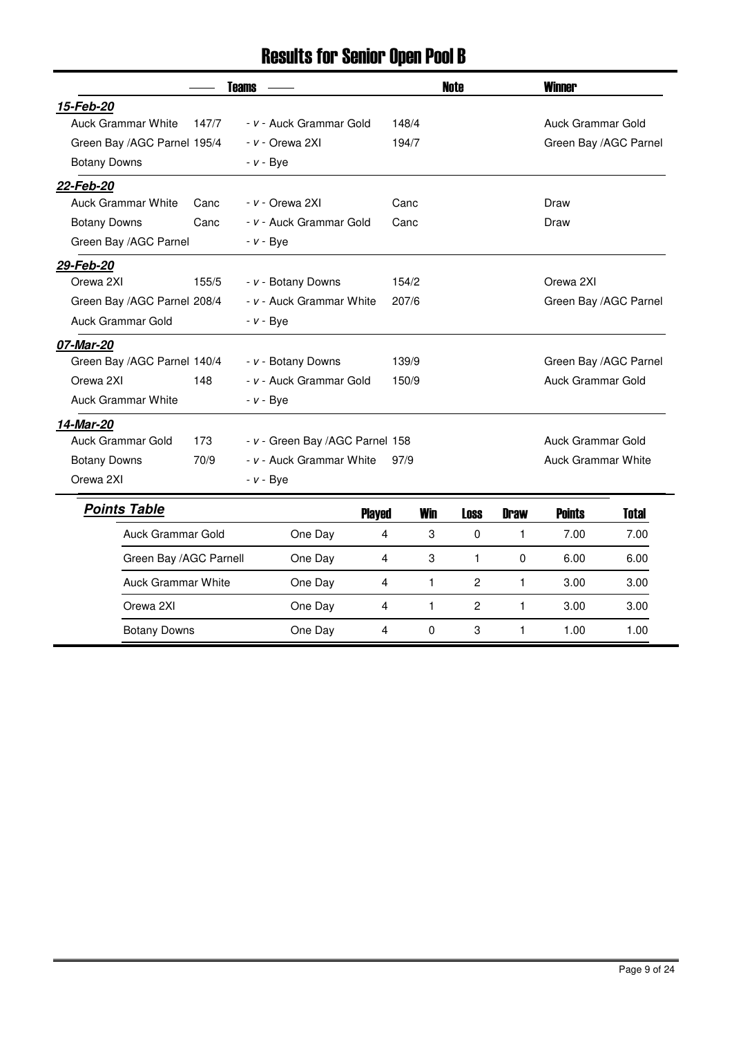# Results for Senior Open Pool B

|                             | <b>Teams</b> |                                 |       | <b>Note</b>  |              | <b>Winner</b> |                           |                       |
|-----------------------------|--------------|---------------------------------|-------|--------------|--------------|---------------|---------------------------|-----------------------|
| 15-Feb-20                   |              |                                 |       |              |              |               |                           |                       |
| <b>Auck Grammar White</b>   | 147/7        | - v - Auck Grammar Gold         | 148/4 |              |              |               | <b>Auck Grammar Gold</b>  |                       |
| Green Bay /AGC Parnel 195/4 |              | - v - Orewa 2XI                 | 194/7 |              |              |               |                           | Green Bay /AGC Parnel |
| <b>Botany Downs</b>         |              | $- v - Bye$                     |       |              |              |               |                           |                       |
| 22-Feb-20                   |              |                                 |       |              |              |               |                           |                       |
| <b>Auck Grammar White</b>   | Canc         | <i>- v -</i> Orewa 2XI          | Canc  |              |              |               | Draw                      |                       |
| <b>Botany Downs</b>         | Canc         | - v - Auck Grammar Gold         | Canc  |              |              |               | Draw                      |                       |
| Green Bay /AGC Parnel       |              | $- v - Bve$                     |       |              |              |               |                           |                       |
| 29-Feb-20                   |              |                                 |       |              |              |               |                           |                       |
| Orewa 2XI                   | 155/5        | - v - Botany Downs              | 154/2 |              |              |               | Orewa 2XI                 |                       |
| Green Bay /AGC Parnel 208/4 |              | - v - Auck Grammar White        | 207/6 |              |              |               |                           | Green Bay /AGC Parnel |
| Auck Grammar Gold           |              | $- v - Bye$                     |       |              |              |               |                           |                       |
| 07-Mar-20                   |              |                                 |       |              |              |               |                           |                       |
| Green Bay /AGC Parnel 140/4 |              | - v - Botany Downs              | 139/9 |              |              |               |                           | Green Bay /AGC Parnel |
| Orewa 2XI                   | 148          | - v - Auck Grammar Gold         | 150/9 |              |              |               | <b>Auck Grammar Gold</b>  |                       |
| <b>Auck Grammar White</b>   |              | $- v - Bye$                     |       |              |              |               |                           |                       |
| 14-Mar-20                   |              |                                 |       |              |              |               |                           |                       |
| Auck Grammar Gold           | 173          | - v - Green Bay /AGC Parnel 158 |       |              |              |               | Auck Grammar Gold         |                       |
| <b>Botany Downs</b>         | 70/9         | - v - Auck Grammar White        | 97/9  |              |              |               | <b>Auck Grammar White</b> |                       |
| Orewa 2XI                   |              | $- v - Bye$                     |       |              |              |               |                           |                       |
| <b>Points Table</b>         |              | <b>Played</b>                   |       | <b>Win</b>   | <b>Loss</b>  | <b>Draw</b>   | <b>Points</b>             | <b>Total</b>          |
| Auck Grammar Gold           |              | One Day                         | 4     | 3            | $\Omega$     | 1             | 7.00                      | 7.00                  |
| Green Bay /AGC Parnell      |              | One Day                         | 4     | 3            | $\mathbf{1}$ | 0             | 6.00                      | 6.00                  |
| <b>Auck Grammar White</b>   |              | One Day                         | 4     | 1            | $\mathbf{2}$ | 1             | 3.00                      | 3.00                  |
| Orewa 2XI                   |              | One Day                         | 4     | $\mathbf{1}$ | $\mathbf{2}$ | 1.            | 3.00                      | 3.00                  |
| <b>Botany Downs</b>         |              | One Day                         | 4     | 0            | 3            | 1             | 1.00                      | 1.00                  |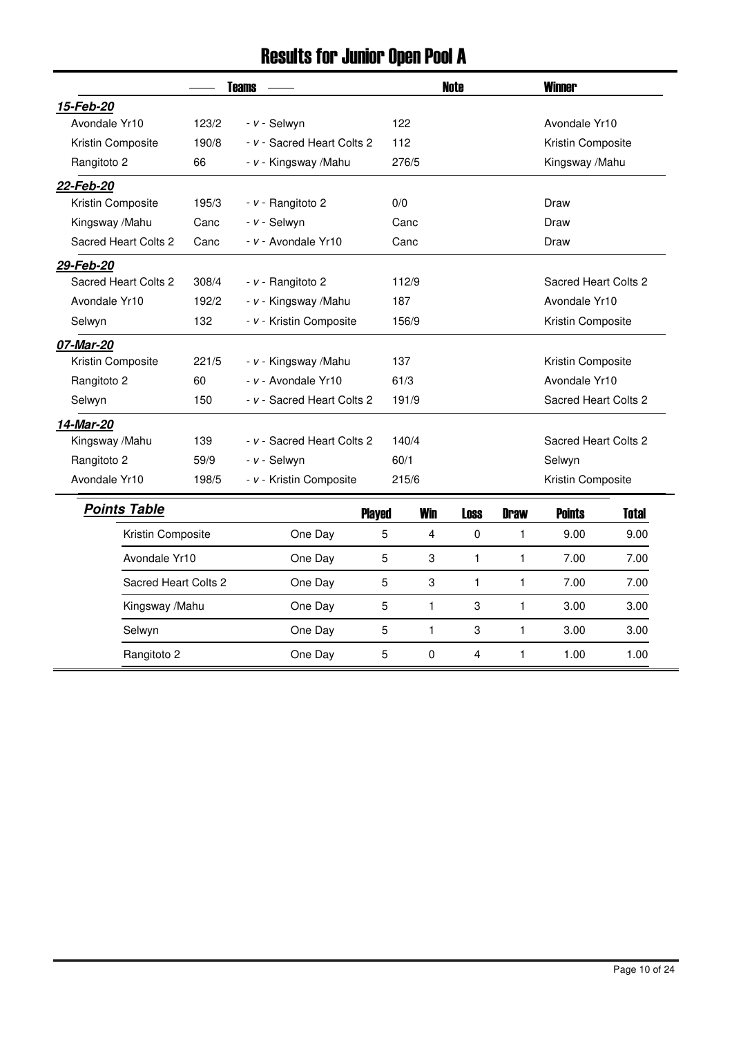# Results for Junior Open Pool A

|                      | <b>Teams</b> |                            |      |                | <b>Note</b>    |              | <b>Winner</b>        |              |  |
|----------------------|--------------|----------------------------|------|----------------|----------------|--------------|----------------------|--------------|--|
| 15-Feb-20            |              |                            |      |                |                |              |                      |              |  |
| Avondale Yr10        | 123/2        | - v - Selwyn               | 122  |                |                |              | Avondale Yr10        |              |  |
| Kristin Composite    | 190/8        | - v - Sacred Heart Colts 2 | 112  |                |                |              | Kristin Composite    |              |  |
| Rangitoto 2          | 66           | - v - Kingsway /Mahu       |      | 276/5          |                |              | Kingsway /Mahu       |              |  |
| 22-Feb-20            |              |                            |      |                |                |              |                      |              |  |
| Kristin Composite    | 195/3        | - v - Rangitoto 2          | 0/0  |                |                |              | Draw                 |              |  |
| Kingsway /Mahu       | Canc         | - v - Selwyn               |      | Canc           |                |              | Draw                 |              |  |
| Sacred Heart Colts 2 | Canc         | - v - Avondale Yr10        |      | Canc           |                |              | Draw                 |              |  |
| 29-Feb-20            |              |                            |      |                |                |              |                      |              |  |
| Sacred Heart Colts 2 | 308/4        | - v - Rangitoto 2          |      | 112/9          |                |              | Sacred Heart Colts 2 |              |  |
| Avondale Yr10        | 192/2        | - v - Kingsway /Mahu       | 187  |                |                |              | Avondale Yr10        |              |  |
| Selwyn               | 132          | - v - Kristin Composite    |      | 156/9          |                |              | Kristin Composite    |              |  |
| 07-Mar-20            |              |                            |      |                |                |              |                      |              |  |
| Kristin Composite    | 221/5        | - v - Kingsway /Mahu       | 137  |                |                |              | Kristin Composite    |              |  |
| Rangitoto 2          | 60           | - v - Avondale Yr10        |      | 61/3           |                |              | Avondale Yr10        |              |  |
| Selwyn               | 150          | - v - Sacred Heart Colts 2 |      | 191/9          |                |              | Sacred Heart Colts 2 |              |  |
| 14-Mar-20            |              |                            |      |                |                |              |                      |              |  |
| Kingsway /Mahu       | 139          | - v - Sacred Heart Colts 2 |      | 140/4          |                |              | Sacred Heart Colts 2 |              |  |
| Rangitoto 2          | 59/9         | - v - Selwyn               | 60/1 |                |                |              | Selwyn               |              |  |
| Avondale Yr10        | 198/5        | - v - Kristin Composite    |      | 215/6          |                |              | Kristin Composite    |              |  |
| <b>Points Table</b>  |              | <b>Played</b>              |      | <b>Win</b>     | <b>Loss</b>    | <b>Draw</b>  | <b>Points</b>        | <b>Total</b> |  |
| Kristin Composite    |              | One Day                    | 5    | $\overline{4}$ | 0              | $\mathbf{1}$ | 9.00                 | 9.00         |  |
| Avondale Yr10        |              | One Day                    | 5    | 3              | $\mathbf{1}$   | $\mathbf{1}$ | 7.00                 | 7.00         |  |
| Sacred Heart Colts 2 |              | One Day                    | 5    | 3              | $\mathbf{1}$   | $\mathbf{1}$ | 7.00                 | 7.00         |  |
| Kingsway /Mahu       |              | One Day                    | 5    | $\mathbf{1}$   | 3              | $\mathbf{1}$ | 3.00                 | 3.00         |  |
| Selwyn               |              | One Day                    | 5    | $\mathbf{1}$   | 3              | 1            | 3.00                 | 3.00         |  |
| Rangitoto 2          |              | One Day                    | 5    | $\mathbf 0$    | $\overline{4}$ | $\mathbf{1}$ | 1.00                 | 1.00         |  |

L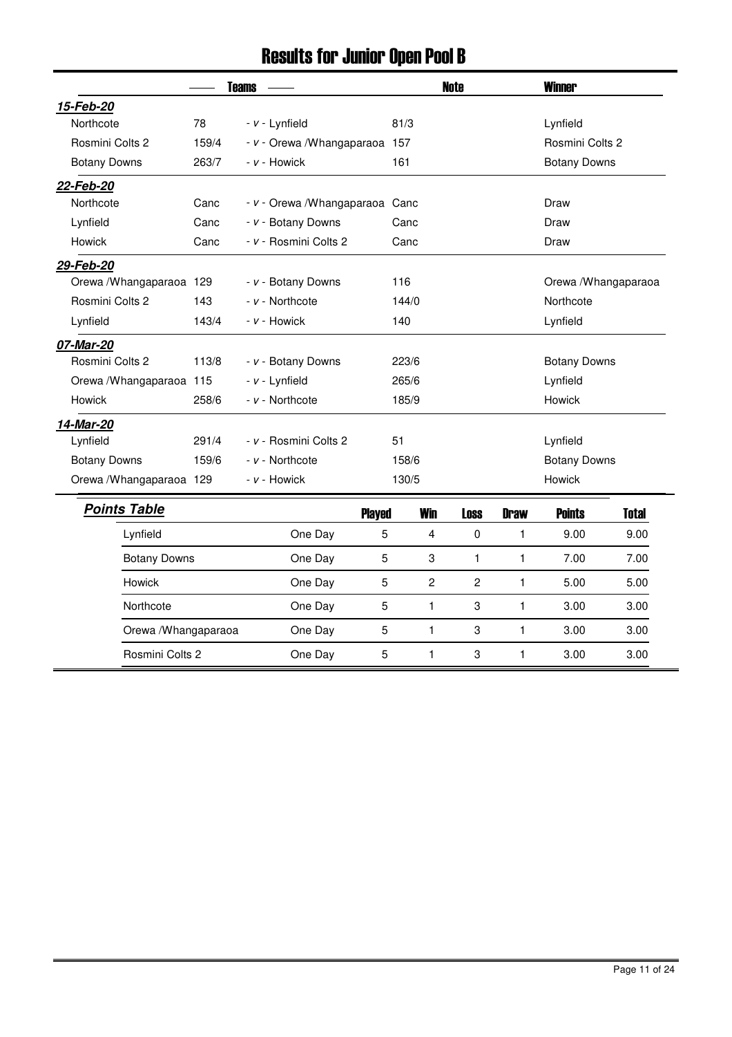### Results for Junior Open Pool B

|                          | <b>Teams</b> |                                 |                |                | <b>Note</b> |                |              | <b>Winner</b>        |              |  |
|--------------------------|--------------|---------------------------------|----------------|----------------|-------------|----------------|--------------|----------------------|--------------|--|
| 15-Feb-20                |              |                                 |                |                |             |                |              |                      |              |  |
| Northcote                | 78           | - v - Lynfield                  |                | 81/3           |             |                |              | Lynfield             |              |  |
| Rosmini Colts 2          | 159/4        | - v - Orewa / Whangaparaoa 157  |                |                |             |                |              | Rosmini Colts 2      |              |  |
| <b>Botany Downs</b>      | 263/7        | - v - Howick                    |                | 161            |             |                |              | <b>Botany Downs</b>  |              |  |
| 22-Feb-20                |              |                                 |                |                |             |                |              |                      |              |  |
| Northcote                | Canc         | - v - Orewa / Whangaparaoa Canc |                |                |             |                |              | Draw                 |              |  |
| Lynfield                 | Canc         | - v - Botany Downs              |                | Canc           |             |                |              | Draw                 |              |  |
| <b>Howick</b>            | Canc         | - v - Rosmini Colts 2           |                | Canc           |             |                |              | Draw                 |              |  |
| 29-Feb-20                |              |                                 |                |                |             |                |              |                      |              |  |
| Orewa / Whangaparaoa 129 |              | - v - Botany Downs              |                | 116            |             |                |              | Orewa / Whangaparaoa |              |  |
| Rosmini Colts 2          | 143          | - v - Northcote                 |                | 144/0          |             |                |              | Northcote            |              |  |
| Lynfield                 | 143/4        | - v - Howick                    |                | 140            |             |                |              | Lynfield             |              |  |
| 07-Mar-20                |              |                                 |                |                |             |                |              |                      |              |  |
| Rosmini Colts 2          | 113/8        | - v - Botany Downs              |                | 223/6          |             |                |              | <b>Botany Downs</b>  |              |  |
| Orewa / Whangaparaoa 115 |              | - v - Lynfield                  |                | 265/6          |             |                |              | Lynfield             |              |  |
| <b>Howick</b>            | 258/6        | - v - Northcote                 |                | 185/9          |             |                |              | <b>Howick</b>        |              |  |
| 14-Mar-20                |              |                                 |                |                |             |                |              |                      |              |  |
| Lynfield                 | 291/4        | - v - Rosmini Colts 2           |                | 51             |             |                |              | Lynfield             |              |  |
| <b>Botany Downs</b>      | 159/6        | - v - Northcote                 |                | 158/6          |             |                |              | <b>Botany Downs</b>  |              |  |
| Orewa / Whangaparaoa 129 |              | - v - Howick                    |                | 130/5          |             |                |              | <b>Howick</b>        |              |  |
| <b>Points Table</b>      |              |                                 | <b>Played</b>  | <b>Win</b>     |             | <b>Loss</b>    | <b>Draw</b>  | <b>Points</b>        | <b>Total</b> |  |
| Lynfield                 |              | One Day                         | 5              | 4              |             | $\pmb{0}$      | 1            | 9.00                 | 9.00         |  |
| <b>Botany Downs</b>      |              | One Day                         | 5              | 3              |             | 1              | $\mathbf{1}$ | 7.00                 | 7.00         |  |
| <b>Howick</b>            |              | One Day                         | $\overline{5}$ | $\overline{c}$ |             | $\overline{c}$ | $\mathbf{1}$ | 5.00                 | 5.00         |  |
| Northcote                |              | One Day                         | $\overline{5}$ | 1              |             | 3              | $\mathbf{1}$ | 3.00                 | 3.00         |  |
| Orewa / Whangaparaoa     |              | One Day                         | 5              | $\mathbf{1}$   |             | 3              | $\mathbf{1}$ | 3.00                 | 3.00         |  |
| Rosmini Colts 2          |              | One Day                         | 5              | $\mathbf{1}$   |             | 3              | $\mathbf{1}$ | 3.00                 | 3.00         |  |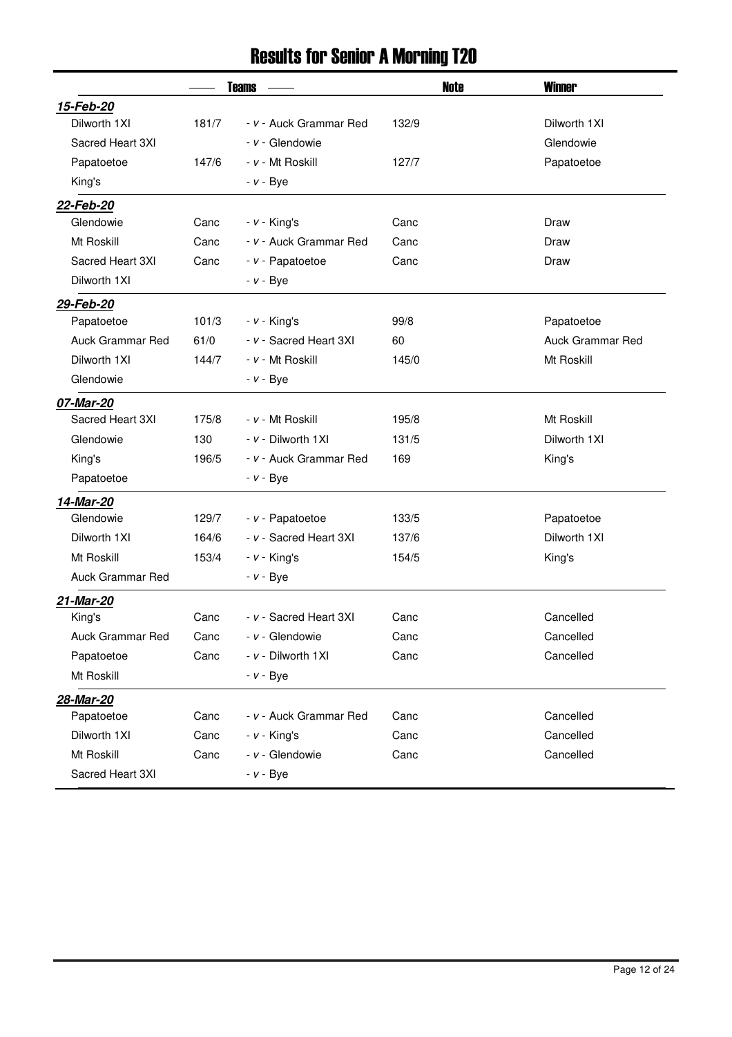### Results for Senior A Morning T20

|                         | <b>Teams</b> |                        | <b>Note</b> | <b>Winner</b>           |
|-------------------------|--------------|------------------------|-------------|-------------------------|
| 15-Feb-20               |              |                        |             |                         |
| Dilworth 1XI            | 181/7        | - v - Auck Grammar Red | 132/9       | Dilworth 1XI            |
| Sacred Heart 3XI        |              | - v - Glendowie        |             | Glendowie               |
| Papatoetoe              | 147/6        | - v - Mt Roskill       | 127/7       | Papatoetoe              |
| King's                  |              | $- v - Bye$            |             |                         |
| 22-Feb-20               |              |                        |             |                         |
| Glendowie               | Canc         | $- v -$ King's         | Canc        | Draw                    |
| Mt Roskill              | Canc         | - v - Auck Grammar Red | Canc        | Draw                    |
| Sacred Heart 3XI        | Canc         | - v - Papatoetoe       | Canc        | Draw                    |
| Dilworth 1XI            |              | $- v - Bye$            |             |                         |
| 29-Feb-20               |              |                        |             |                         |
| Papatoetoe              | 101/3        | $- v -$ King's         | 99/8        | Papatoetoe              |
| <b>Auck Grammar Red</b> | 61/0         | - v - Sacred Heart 3XI | 60          | <b>Auck Grammar Red</b> |
| Dilworth 1XI            | 144/7        | - v - Mt Roskill       | 145/0       | Mt Roskill              |
| Glendowie               |              | $- v - Bye$            |             |                         |
| 07-Mar-20               |              |                        |             |                         |
| Sacred Heart 3XI        | 175/8        | - v - Mt Roskill       | 195/8       | Mt Roskill              |
| Glendowie               | 130          | - v - Dilworth 1XI     | 131/5       | Dilworth 1XI            |
| King's                  | 196/5        | - v - Auck Grammar Red | 169         | King's                  |
| Papatoetoe              |              | $- v - Bye$            |             |                         |
| 14-Mar-20               |              |                        |             |                         |
| Glendowie               | 129/7        | - v - Papatoetoe       | 133/5       | Papatoetoe              |
| Dilworth 1XI            | 164/6        | - v - Sacred Heart 3XI | 137/6       | Dilworth 1XI            |
| Mt Roskill              | 153/4        | $- v -$ King's         | 154/5       | King's                  |
| Auck Grammar Red        |              | $- v - Bye$            |             |                         |
| 21-Mar-20               |              |                        |             |                         |
| King's                  | Canc         | - v - Sacred Heart 3XI | Canc        | Cancelled               |
| Auck Grammar Red        | Canc         | - v - Glendowie        | Canc        | Cancelled               |
| Papatoetoe              | Canc         | - v - Dilworth 1XI     | Canc        | Cancelled               |
| Mt Roskill              |              | $- v - Bye$            |             |                         |
| 28-Mar-20               |              |                        |             |                         |
| Papatoetoe              | Canc         | - v - Auck Grammar Red | Canc        | Cancelled               |
| Dilworth 1XI            | Canc         | $- v -$ King's         | Canc        | Cancelled               |
| Mt Roskill              | Canc         | - v - Glendowie        | Canc        | Cancelled               |
| Sacred Heart 3XI        |              | $- v - Bye$            |             |                         |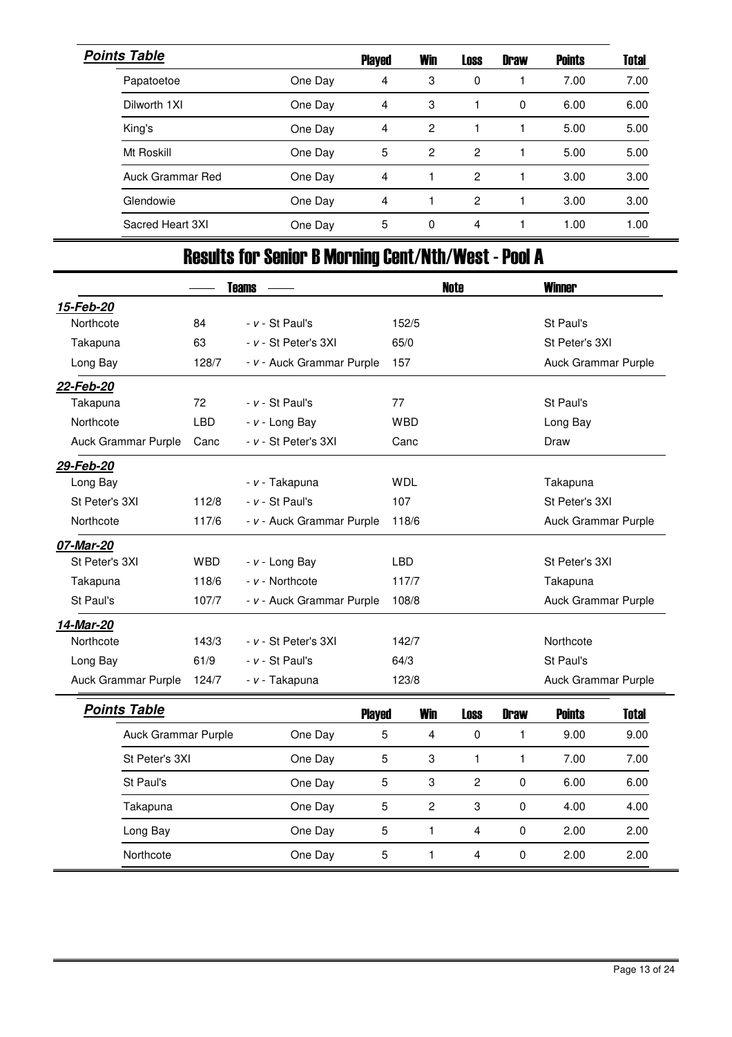| <b>Points Table</b> |         | <b>Played</b>  | <b>Win</b>     | <b>Loss</b> | <b>Draw</b> | <b>Points</b> | <b>Total</b> |
|---------------------|---------|----------------|----------------|-------------|-------------|---------------|--------------|
| Papatoetoe          | One Day | 4              | 3              | 0           |             | 7.00          | 7.00         |
| Dilworth 1XI        | One Day | 4              | 3              |             | 0           | 6.00          | 6.00         |
| King's              | One Day | 4              | 2              |             |             | 5.00          | 5.00         |
| Mt Roskill          | One Day | 5              | $\overline{c}$ | 2           |             | 5.00          | 5.00         |
| Auck Grammar Red    | One Day | 4              |                | 2           |             | 3.00          | 3.00         |
| Glendowie           | One Day | $\overline{4}$ |                | 2           |             | 3.00          | 3.00         |
| Sacred Heart 3XI    | One Day | 5              | 0              | 4           |             | 1.00          | 1.00         |

# Results for Senior B Morning Cent/Nth/West - Pool A

|                     | <b>Teams</b> |                           |                |                | <b>Note</b>             | <b>Winner</b>       |                     |              |  |  |
|---------------------|--------------|---------------------------|----------------|----------------|-------------------------|---------------------|---------------------|--------------|--|--|
| 15-Feb-20           |              |                           |                |                |                         |                     |                     |              |  |  |
| Northcote           | 84           | $- v - St$ Paul's         |                | 152/5          |                         |                     | St Paul's           |              |  |  |
| Takapuna            | 63           | - v - St Peter's 3XI      | 65/0           |                |                         |                     | St Peter's 3XI      |              |  |  |
| Long Bay            | 128/7        | - v - Auck Grammar Purple | 157            |                |                         |                     | Auck Grammar Purple |              |  |  |
| 22-Feb-20           |              |                           |                |                |                         |                     |                     |              |  |  |
| Takapuna            | 72           | $- v - St$ Paul's         | 77             |                |                         |                     | St Paul's           |              |  |  |
| Northcote           | <b>LBD</b>   | $- v -$ Long Bay          |                | <b>WBD</b>     |                         |                     | Long Bay            |              |  |  |
| Auck Grammar Purple | Canc         | - v - St Peter's 3XI      | Canc           |                |                         | Draw                |                     |              |  |  |
| 29-Feb-20           |              |                           |                |                |                         |                     |                     |              |  |  |
| Long Bay            |              | - v - Takapuna            | <b>WDL</b>     |                | Takapuna                |                     |                     |              |  |  |
| St Peter's 3XI      | 112/8        | $- v - St$ Paul's         | 107            |                |                         | St Peter's 3XI      |                     |              |  |  |
| Northcote           | 117/6        | - v - Auck Grammar Purple | 118/6          |                |                         | Auck Grammar Purple |                     |              |  |  |
| 07-Mar-20           |              |                           |                |                |                         |                     |                     |              |  |  |
| St Peter's 3XI      | <b>WBD</b>   | $- v -$ Long Bay          | <b>LBD</b>     |                |                         |                     | St Peter's 3XI      |              |  |  |
| Takapuna            | 118/6        | - v - Northcote           |                | 117/7          |                         |                     | Takapuna            |              |  |  |
| St Paul's           | 107/7        | - v - Auck Grammar Purple |                | 108/8          |                         |                     | Auck Grammar Purple |              |  |  |
| 14-Mar-20           |              |                           |                |                |                         |                     |                     |              |  |  |
| Northcote           | 143/3        | - v - St Peter's 3XI      |                | 142/7          |                         |                     | Northcote           |              |  |  |
| Long Bay            | 61/9         | - v - St Paul's           | 64/3           |                |                         |                     | St Paul's           |              |  |  |
| Auck Grammar Purple | 124/7        | - v - Takapuna            |                | 123/8          |                         |                     | Auck Grammar Purple |              |  |  |
| <b>Points Table</b> |              | <b>Played</b>             |                | <b>Win</b>     | <b>Loss</b>             | <b>Draw</b>         | <b>Points</b>       | <b>Total</b> |  |  |
| Auck Grammar Purple |              | One Day                   | 5              | 4              | $\mathbf 0$             | 1                   | 9.00                | 9.00         |  |  |
| St Peter's 3XI      |              | One Day                   | $\sqrt{5}$     | 3              | 1                       | 1                   | 7.00                | 7.00         |  |  |
| St Paul's           |              | One Day                   | $\overline{5}$ | 3              | $\overline{c}$          | $\pmb{0}$           | 6.00                | 6.00         |  |  |
| Takapuna            |              | One Day                   | 5              | $\overline{c}$ | 3                       | $\pmb{0}$           | 4.00                | 4.00         |  |  |
| Long Bay            |              | One Day                   | $\sqrt{5}$     | 1              | $\overline{\mathbf{4}}$ | $\pmb{0}$           | 2.00                | 2.00         |  |  |
| Northcote           |              | One Day                   | 5              | 1              | 4                       | $\mathbf 0$         | 2.00                | 2.00         |  |  |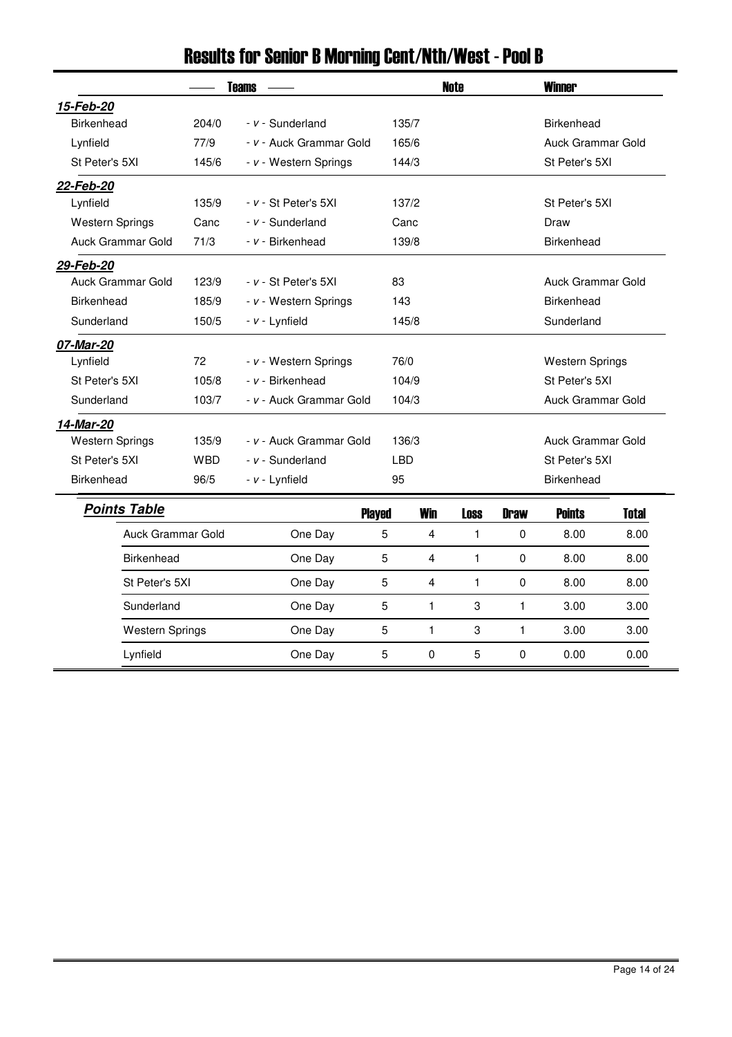| <b>Teams</b>           |            |                         |            |              | <b>Note</b>       | <b>Winner</b>     |                        |              |  |
|------------------------|------------|-------------------------|------------|--------------|-------------------|-------------------|------------------------|--------------|--|
| 15-Feb-20              |            |                         |            |              |                   |                   |                        |              |  |
| Birkenhead             | 204/0      | $- v -$ Sunderland      |            | 135/7        |                   |                   | <b>Birkenhead</b>      |              |  |
| Lynfield               | 77/9       | - v - Auck Grammar Gold |            | 165/6        |                   |                   | Auck Grammar Gold      |              |  |
| St Peter's 5XI         | 145/6      | - v - Western Springs   | 144/3      |              |                   |                   | St Peter's 5XI         |              |  |
| 22-Feb-20              |            |                         |            |              |                   |                   |                        |              |  |
| Lynfield               | 135/9      | - v - St Peter's 5XI    | 137/2      |              |                   | St Peter's 5XI    |                        |              |  |
| <b>Western Springs</b> | Canc       | $- v -$ Sunderland      |            | Canc         |                   |                   | Draw                   |              |  |
| Auck Grammar Gold      | 71/3       | - v - Birkenhead        |            | 139/8        |                   |                   | Birkenhead             |              |  |
| 29-Feb-20              |            |                         |            |              |                   |                   |                        |              |  |
| Auck Grammar Gold      | 123/9      | - v - St Peter's 5XI    | 83         |              | Auck Grammar Gold |                   |                        |              |  |
| <b>Birkenhead</b>      | 185/9      | - v - Western Springs   | 143        |              |                   |                   | <b>Birkenhead</b>      |              |  |
| Sunderland             | 150/5      | - v - Lynfield          | 145/8      |              |                   |                   | Sunderland             |              |  |
| 07-Mar-20              |            |                         |            |              |                   |                   |                        |              |  |
| Lynfield               | 72         | - v - Western Springs   |            | 76/0         |                   |                   | <b>Western Springs</b> |              |  |
| St Peter's 5XI         | 105/8      | - v - Birkenhead        |            | 104/9        |                   |                   | St Peter's 5XI         |              |  |
| Sunderland             | 103/7      | - v - Auck Grammar Gold |            | 104/3        |                   |                   | Auck Grammar Gold      |              |  |
| 14-Mar-20              |            |                         |            |              |                   |                   |                        |              |  |
| <b>Western Springs</b> | 135/9      | - v - Auck Grammar Gold | 136/3      |              |                   | Auck Grammar Gold |                        |              |  |
| St Peter's 5XI         | <b>WBD</b> | - v - Sunderland        | <b>LBD</b> |              |                   |                   | St Peter's 5XI         |              |  |
| <b>Birkenhead</b>      | 96/5       | - v - Lynfield          | 95         |              |                   |                   | <b>Birkenhead</b>      |              |  |
| <b>Points Table</b>    |            | <b>Played</b>           |            | <b>Win</b>   | <b>Loss</b>       | <b>Draw</b>       | <b>Points</b>          | <b>Total</b> |  |
| Auck Grammar Gold      |            | One Day                 | 5          | 4            | $\mathbf{1}$      | 0                 | 8.00                   | 8.00         |  |
| <b>Birkenhead</b>      |            | One Day                 | 5          | 4            | $\mathbf{1}$      | 0                 | 8.00                   | 8.00         |  |
| St Peter's 5XI         |            | One Day                 | 5          | 4            | $\mathbf{1}$      | 0                 | 8.00                   | 8.00         |  |
| Sunderland             |            | One Day                 | 5          | 1            | 3                 | 1                 | 3.00                   | 3.00         |  |
| <b>Western Springs</b> |            | One Day                 | 5          | $\mathbf{1}$ | 3                 | 1                 | 3.00                   | 3.00         |  |
| Lynfield               |            | One Day                 | 5          | 0            | 5                 | 0                 | 0.00                   | 0.00         |  |

# Results for Senior B Morning Cent/Nth/West - Pool B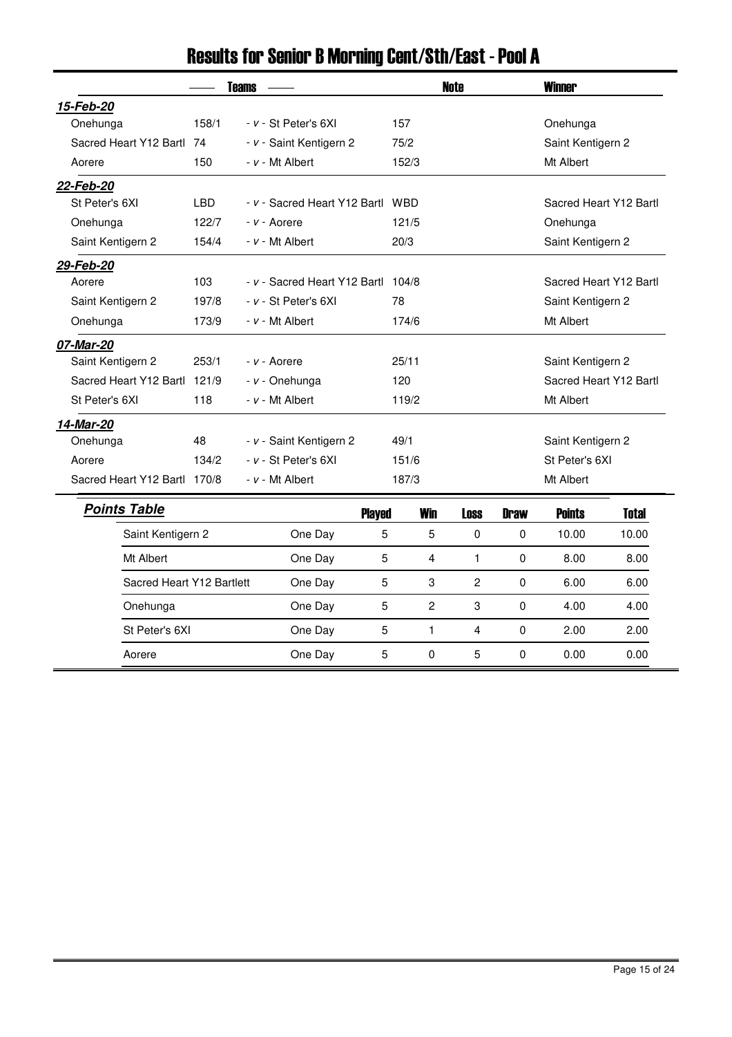| <b>Teams</b>                 |                |  |                                    |                |                | <b>Note</b>  | <b>Winner</b>          |                        |              |  |
|------------------------------|----------------|--|------------------------------------|----------------|----------------|--------------|------------------------|------------------------|--------------|--|
| 15-Feb-20                    |                |  |                                    |                |                |              |                        |                        |              |  |
| Onehunga                     | 158/1          |  | - v - St Peter's 6XI               |                | 157            |              |                        | Onehunga               |              |  |
| Sacred Heart Y12 Bartl 74    |                |  | - v - Saint Kentigern 2            |                | 75/2           |              |                        | Saint Kentigern 2      |              |  |
| Aorere                       | 150            |  | - v - Mt Albert                    |                | 152/3          |              |                        | Mt Albert              |              |  |
| 22-Feb-20                    |                |  |                                    |                |                |              |                        |                        |              |  |
| St Peter's 6XI               | <b>LBD</b>     |  | - v - Sacred Heart Y12 Bartl WBD   |                |                |              | Sacred Heart Y12 Bartl |                        |              |  |
| Onehunga                     | 122/7          |  | - v - Aorere                       |                | 121/5          |              |                        | Onehunga               |              |  |
| Saint Kentigern 2            | 154/4          |  | - v - Mt Albert                    |                | 20/3           |              |                        | Saint Kentigern 2      |              |  |
| 29-Feb-20                    |                |  |                                    |                |                |              |                        |                        |              |  |
| Aorere                       | 103            |  | - v - Sacred Heart Y12 Bartl 104/8 |                |                |              |                        | Sacred Heart Y12 Bartl |              |  |
| Saint Kentigern 2            | 197/8          |  | - v - St Peter's 6XI               |                | 78             |              |                        | Saint Kentigern 2      |              |  |
| Onehunga                     | 173/9          |  | $- v - Mt$ Albert                  |                | 174/6          |              |                        | Mt Albert              |              |  |
| 07-Mar-20                    |                |  |                                    |                |                |              |                        |                        |              |  |
| Saint Kentigern 2            | 253/1          |  | - v - Aorere                       |                | 25/11          |              |                        | Saint Kentigern 2      |              |  |
| Sacred Heart Y12 Bartl 121/9 |                |  | - v - Onehunga                     |                | 120            |              |                        | Sacred Heart Y12 Bartl |              |  |
| St Peter's 6XI               | 118            |  | - v - Mt Albert                    |                | 119/2          |              |                        | Mt Albert              |              |  |
| 14-Mar-20                    |                |  |                                    |                |                |              |                        |                        |              |  |
| Onehunga                     | 48             |  | - v - Saint Kentigern 2            |                | 49/1           |              |                        | Saint Kentigern 2      |              |  |
| Aorere                       | 134/2          |  | - v - St Peter's 6XI               |                | 151/6          |              |                        | St Peter's 6XI         |              |  |
| Sacred Heart Y12 Bartl 170/8 |                |  | - v - Mt Albert                    |                | 187/3          |              |                        | Mt Albert              |              |  |
| <b>Points Table</b>          |                |  |                                    | <b>Played</b>  | <b>Win</b>     | <b>Loss</b>  | <b>Draw</b>            | <b>Points</b>          | <b>Total</b> |  |
| Saint Kentigern 2            |                |  | One Day                            | 5              | 5              | $\Omega$     | 0                      | 10.00                  | 10.00        |  |
| Mt Albert                    |                |  | One Day                            | 5              | 4              | 1            | $\pmb{0}$              | 8.00                   | 8.00         |  |
| Sacred Heart Y12 Bartlett    |                |  | One Day                            | 5              | 3              | $\mathbf{2}$ | 0                      | 6.00                   | 6.00         |  |
| Onehunga                     |                |  | One Day                            | 5              | $\overline{c}$ | 3            | 0                      | 4.00                   | 4.00         |  |
|                              | St Peter's 6XI |  | One Day                            | $\overline{5}$ | 1              | 4            | 0                      | 2.00                   | 2.00         |  |
| Aorere                       |                |  | One Day                            | 5              | 0              | 5            | 0                      | 0.00                   | 0.00         |  |

# Results for Senior B Morning Cent/Sth/East - Pool A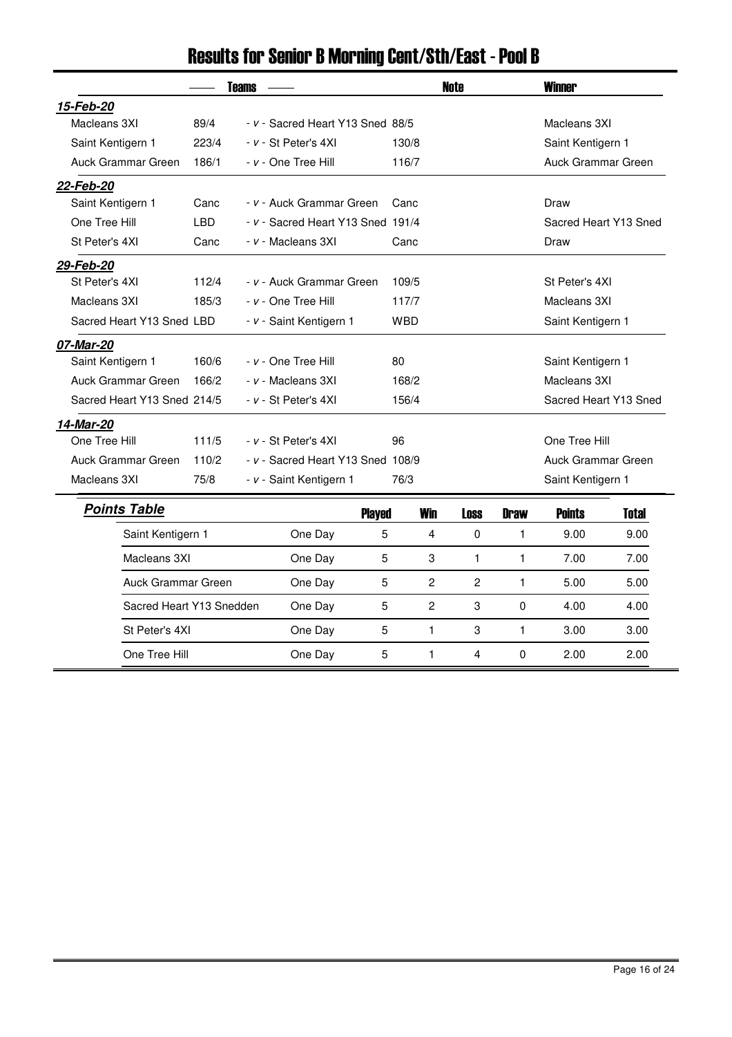|                             | <b>Teams</b> |  |                                   |               |            |                | <b>Note</b>    | <b>Winner</b>         |                       |              |  |
|-----------------------------|--------------|--|-----------------------------------|---------------|------------|----------------|----------------|-----------------------|-----------------------|--------------|--|
| 15-Feb-20                   |              |  |                                   |               |            |                |                |                       |                       |              |  |
| Macleans 3XI                | 89/4         |  | - v - Sacred Heart Y13 Sned 88/5  |               |            |                |                |                       | Macleans 3XI          |              |  |
| Saint Kentigern 1           | 223/4        |  | - v - St Peter's 4XI              |               | 130/8      |                |                |                       | Saint Kentigern 1     |              |  |
| Auck Grammar Green          | 186/1        |  | - v - One Tree Hill               |               | 116/7      |                |                |                       | Auck Grammar Green    |              |  |
| 22-Feb-20                   |              |  |                                   |               |            |                |                |                       |                       |              |  |
| Saint Kentigern 1           | Canc         |  | - v - Auck Grammar Green          |               | Canc       |                |                | Draw                  |                       |              |  |
| One Tree Hill               | <b>LBD</b>   |  | - v - Sacred Heart Y13 Sned 191/4 |               |            |                |                |                       | Sacred Heart Y13 Sned |              |  |
| St Peter's 4XI              | Canc         |  | - v - Macleans 3XI                |               | Canc       |                |                |                       | Draw                  |              |  |
| 29-Feb-20                   |              |  |                                   |               |            |                |                |                       |                       |              |  |
| St Peter's 4XI              | 112/4        |  | - v - Auck Grammar Green          |               | 109/5      |                |                | St Peter's 4XI        |                       |              |  |
| Macleans 3XI                | 185/3        |  | - v - One Tree Hill               |               | 117/7      |                |                |                       | Macleans 3XI          |              |  |
| Sacred Heart Y13 Sned LBD   |              |  | - v - Saint Kentigern 1           |               | <b>WBD</b> |                |                | Saint Kentigern 1     |                       |              |  |
| 07-Mar-20                   |              |  |                                   |               |            |                |                |                       |                       |              |  |
| Saint Kentigern 1           | 160/6        |  | - v - One Tree Hill               |               | 80         |                |                |                       | Saint Kentigern 1     |              |  |
| Auck Grammar Green          | 166/2        |  | - v - Macleans 3XI                |               | 168/2      |                |                |                       | Macleans 3XI          |              |  |
| Sacred Heart Y13 Sned 214/5 |              |  | - v - St Peter's 4XI              |               | 156/4      |                |                | Sacred Heart Y13 Sned |                       |              |  |
| 14-Mar-20                   |              |  |                                   |               |            |                |                |                       |                       |              |  |
| One Tree Hill               | 111/5        |  | - v - St Peter's 4XI              |               | 96         |                |                |                       | One Tree Hill         |              |  |
| Auck Grammar Green          | 110/2        |  | - v - Sacred Heart Y13 Sned 108/9 |               |            |                |                |                       | Auck Grammar Green    |              |  |
| Macleans 3XI                | 75/8         |  | - v - Saint Kentigern 1           |               | 76/3       |                |                |                       | Saint Kentigern 1     |              |  |
| <b>Points Table</b>         |              |  |                                   | <b>Played</b> |            | <b>Win</b>     | <b>Loss</b>    | <b>Draw</b>           | <b>Points</b>         | <b>Total</b> |  |
| Saint Kentigern 1           |              |  | One Day                           | 5             |            | 4              | $\mathbf 0$    | 1                     | 9.00                  | 9.00         |  |
| Macleans 3XI                |              |  | One Day                           | 5             |            | 3              | 1              | 1                     | 7.00                  | 7.00         |  |
| Auck Grammar Green          |              |  | One Day                           | 5             |            | $\overline{c}$ | $\overline{c}$ | 1                     | 5.00                  | 5.00         |  |
| Sacred Heart Y13 Snedden    |              |  | One Day                           | 5             |            | $\overline{c}$ | 3              | 0                     | 4.00                  | 4.00         |  |
| St Peter's 4XI              |              |  | One Day                           | 5             |            | $\mathbf{1}$   | 3              | 1                     | 3.00                  | 3.00         |  |
| One Tree Hill               |              |  | One Day                           | 5             |            | 1              | 4              | 0                     | 2.00                  | 2.00         |  |

# Results for Senior B Morning Cent/Sth/East - Pool B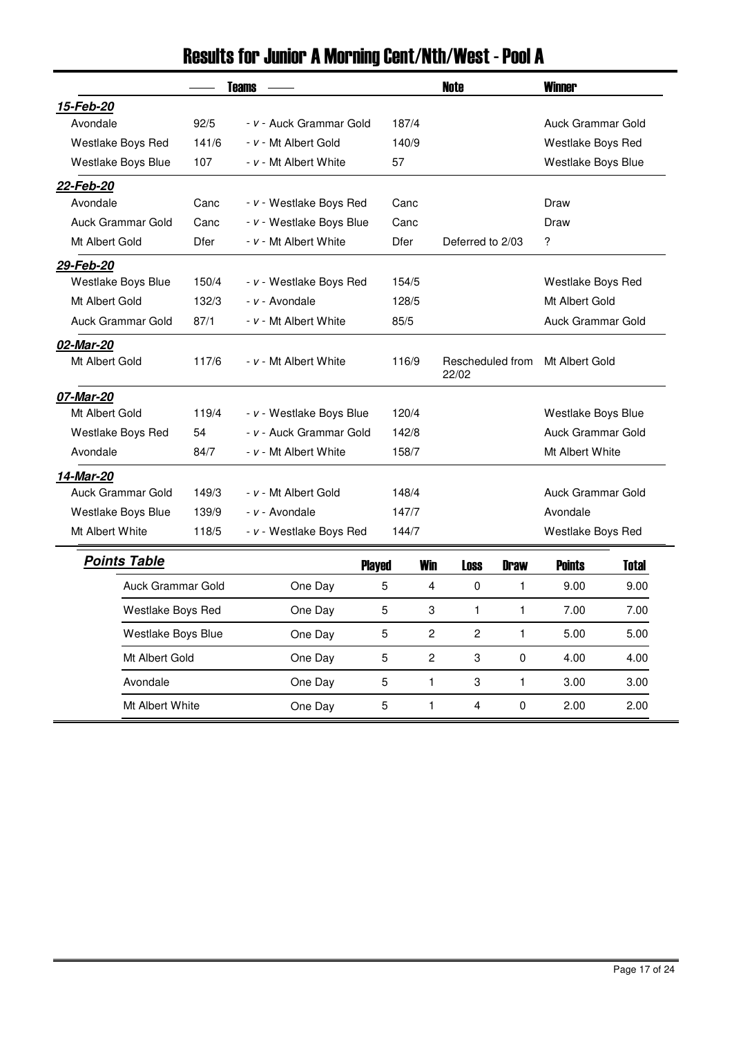|                     |             | <b>Teams</b>             |                   |              | <b>Note</b>               |                    | <b>Winner</b>      |                   |  |
|---------------------|-------------|--------------------------|-------------------|--------------|---------------------------|--------------------|--------------------|-------------------|--|
| 15-Feb-20           |             |                          |                   |              |                           |                    |                    |                   |  |
| Avondale            | 92/5        | - v - Auck Grammar Gold  | 187/4             |              |                           |                    | Auck Grammar Gold  |                   |  |
| Westlake Boys Red   | 141/6       | - v - Mt Albert Gold     | 140/9             |              |                           | Westlake Boys Red  |                    |                   |  |
| Westlake Boys Blue  | 107         | - v - Mt Albert White    | 57                |              |                           |                    | Westlake Boys Blue |                   |  |
| 22-Feb-20           |             |                          |                   |              |                           |                    |                    |                   |  |
| Avondale            | Canc        | - v - Westlake Boys Red  | Canc              |              |                           |                    | Draw               |                   |  |
| Auck Grammar Gold   | Canc        | - v - Westlake Boys Blue | Canc              |              |                           |                    | Draw               |                   |  |
| Mt Albert Gold      | <b>Dfer</b> | - v - Mt Albert White    | <b>Dfer</b>       |              | Deferred to 2/03          |                    | ?                  |                   |  |
| 29-Feb-20           |             |                          |                   |              |                           |                    |                    |                   |  |
| Westlake Boys Blue  | 150/4       | - v - Westlake Boys Red  | 154/5             |              |                           |                    |                    | Westlake Boys Red |  |
| Mt Albert Gold      | 132/3       | - v - Avondale           | 128/5             |              |                           |                    | Mt Albert Gold     |                   |  |
| Auck Grammar Gold   | 87/1        | - v - Mt Albert White    | 85/5              |              |                           | Auck Grammar Gold  |                    |                   |  |
| 02-Mar-20           |             |                          |                   |              |                           |                    |                    |                   |  |
| Mt Albert Gold      | 117/6       | - v - Mt Albert White    | 116/9             |              | Rescheduled from<br>22/02 |                    | Mt Albert Gold     |                   |  |
| 07-Mar-20           |             |                          |                   |              |                           |                    |                    |                   |  |
| Mt Albert Gold      | 119/4       | - v - Westlake Boys Blue | 120/4             |              |                           | Westlake Boys Blue |                    |                   |  |
| Westlake Boys Red   | 54          | - v - Auck Grammar Gold  | 142/8             |              |                           |                    | Auck Grammar Gold  |                   |  |
| Avondale            | 84/7        | - v - Mt Albert White    |                   | 158/7        |                           |                    | Mt Albert White    |                   |  |
| 14-Mar-20           |             |                          |                   |              |                           |                    |                    |                   |  |
| Auck Grammar Gold   | 149/3       | - v - Mt Albert Gold     |                   | 148/4        |                           |                    | Auck Grammar Gold  |                   |  |
| Westlake Boys Blue  | 139/9       | - v - Avondale           | 147/7             |              |                           |                    | Avondale           |                   |  |
| Mt Albert White     | 118/5       | - v - Westlake Boys Red  | 144/7             |              |                           |                    | Westlake Boys Red  |                   |  |
| <b>Points Table</b> |             |                          | <b>Played</b>     | <b>Win</b>   | <b>Loss</b>               | <b>Draw</b>        | <b>Points</b>      | <b>Total</b>      |  |
| Auck Grammar Gold   |             | One Day                  | 5                 | 4            | 0                         | $\mathbf{1}$       | 9.00               | 9.00              |  |
| Westlake Boys Red   |             | One Day                  | 5                 | 3            | 1                         | 1                  | 7.00               | 7.00              |  |
| Westlake Boys Blue  |             | One Day                  | 5                 | 2            | 2                         | 1                  | 5.00               | 5.00              |  |
| Mt Albert Gold      |             | One Day                  | 5                 | 2            | 3                         | 0                  | 4.00               | 4.00              |  |
| Avondale            |             | One Day                  | 5                 | $\mathbf{1}$ | 3                         | 1                  | 3.00               | 3.00              |  |
| Mt Albert White     |             | One Day                  | 5<br>$\mathbf{1}$ |              | 4                         | $\Omega$           | 2.00               | 2.00              |  |

# Results for Junior A Morning Cent/Nth/West - Pool A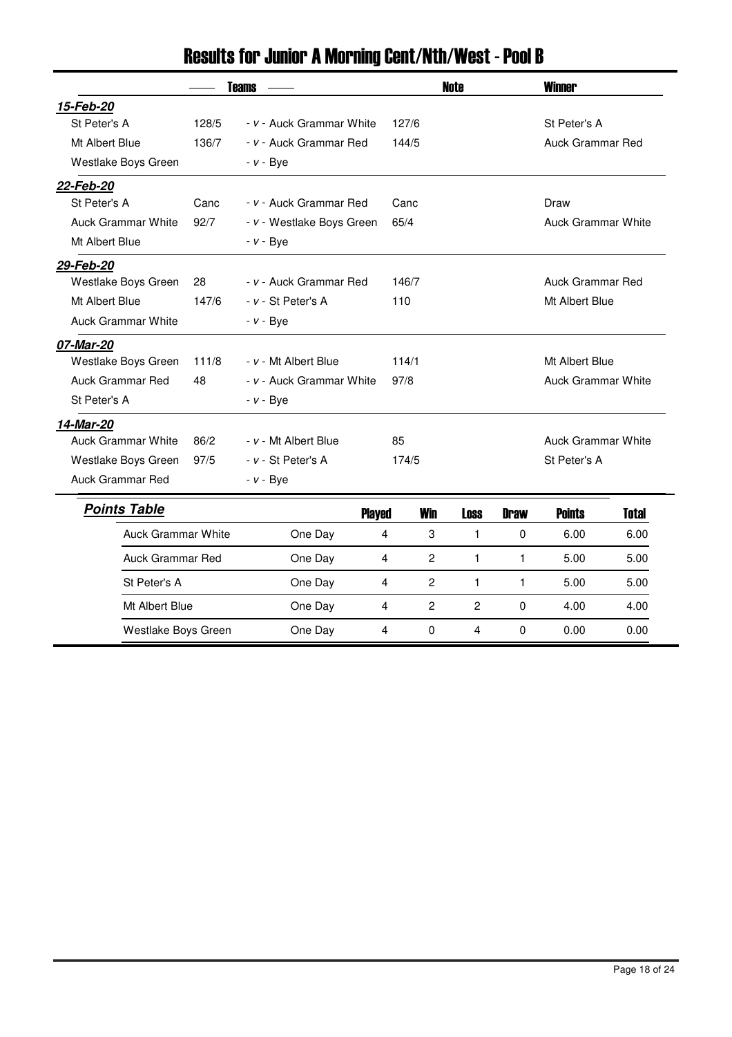| <b>Teams</b>              |       |                           |                |                           | <b>Note</b>    | <b>Winner</b>             |                           |              |  |
|---------------------------|-------|---------------------------|----------------|---------------------------|----------------|---------------------------|---------------------------|--------------|--|
| 15-Feb-20                 |       |                           |                |                           |                |                           |                           |              |  |
| St Peter's A              | 128/5 | - v - Auck Grammar White  | 127/6          |                           |                |                           | St Peter's A              |              |  |
| Mt Albert Blue            | 136/7 | - v - Auck Grammar Red    | 144/5          |                           |                |                           | Auck Grammar Red          |              |  |
| Westlake Boys Green       |       | $- v - Bye$               |                |                           |                |                           |                           |              |  |
| 22-Feb-20                 |       |                           |                |                           |                |                           |                           |              |  |
| St Peter's A              | Canc  | - v - Auck Grammar Red    | Canc           |                           |                |                           | Draw                      |              |  |
| <b>Auck Grammar White</b> | 92/7  | - v - Westlake Boys Green | 65/4           |                           |                | <b>Auck Grammar White</b> |                           |              |  |
| Mt Albert Blue            |       | $- v - Bye$               |                |                           |                |                           |                           |              |  |
| 29-Feb-20                 |       |                           |                |                           |                |                           |                           |              |  |
| Westlake Boys Green       | 28    | - v - Auck Grammar Red    |                | 146/7<br>Auck Grammar Red |                |                           |                           |              |  |
| Mt Albert Blue            | 147/6 | - v - St Peter's A        | 110            |                           |                |                           | Mt Albert Blue            |              |  |
| <b>Auck Grammar White</b> |       | $- v - Bye$               |                |                           |                |                           |                           |              |  |
| 07-Mar-20                 |       |                           |                |                           |                |                           |                           |              |  |
| Westlake Boys Green       | 111/8 | - v - Mt Albert Blue      | 114/1          |                           |                | Mt Albert Blue            |                           |              |  |
| Auck Grammar Red          | 48    | - v - Auck Grammar White  | 97/8           |                           |                |                           | <b>Auck Grammar White</b> |              |  |
| St Peter's A              |       | $- v - Bye$               |                |                           |                |                           |                           |              |  |
| 14-Mar-20                 |       |                           |                |                           |                |                           |                           |              |  |
| <b>Auck Grammar White</b> | 86/2  | - v - Mt Albert Blue      | 85             |                           |                |                           | <b>Auck Grammar White</b> |              |  |
| Westlake Boys Green       | 97/5  | - v - St Peter's A        | 174/5          |                           |                |                           | St Peter's A              |              |  |
| <b>Auck Grammar Red</b>   |       | $- v - Bye$               |                |                           |                |                           |                           |              |  |
| <b>Points Table</b>       |       | <b>Played</b>             |                | <b>Win</b>                | <b>Loss</b>    | <b>Draw</b>               | <b>Points</b>             | <b>Total</b> |  |
| <b>Auck Grammar White</b> |       | One Day                   | 4              | 3                         | $\mathbf{1}$   | $\pmb{0}$                 | 6.00                      | 6.00         |  |
| <b>Auck Grammar Red</b>   |       | One Day                   | $\overline{4}$ | $\overline{2}$            | $\mathbf{1}$   | $\mathbf{1}$              | 5.00                      | 5.00         |  |
| St Peter's A              |       | One Day                   | 4              | $\overline{c}$            | 1              | 1                         | 5.00                      | 5.00         |  |
| Mt Albert Blue            |       | One Day                   | 4              | $\overline{2}$            | $\overline{c}$ | $\pmb{0}$                 | 4.00                      | 4.00         |  |
| Westlake Boys Green       |       | One Day                   | 4              | 0                         | $\overline{4}$ | 0                         | 0.00                      | 0.00         |  |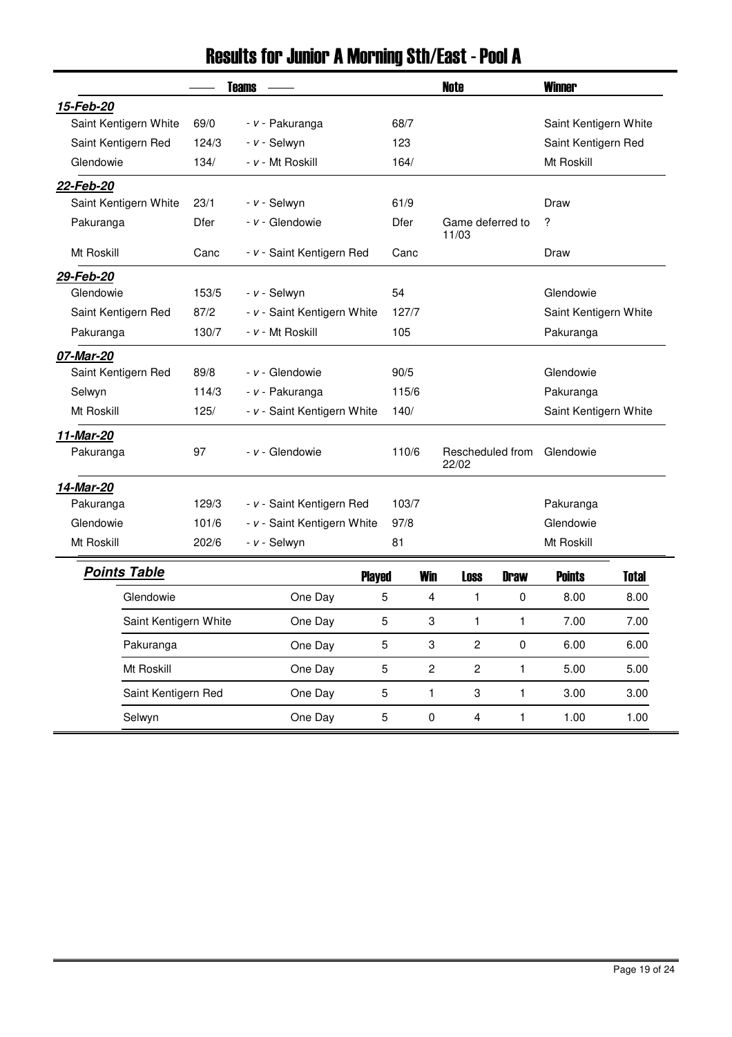|                       |             | <b>Teams</b>                |                | <b>Note</b>    |                           | <b>Winner</b> |                       |              |
|-----------------------|-------------|-----------------------------|----------------|----------------|---------------------------|---------------|-----------------------|--------------|
| 15-Feb-20             |             |                             |                |                |                           |               |                       |              |
| Saint Kentigern White | 69/0        | - v - Pakuranga             | 68/7           |                |                           |               | Saint Kentigern White |              |
| Saint Kentigern Red   | 124/3       | - v - Selwyn                | 123            |                |                           |               | Saint Kentigern Red   |              |
| Glendowie             | 134/        | - v - Mt Roskill            | 164/           |                |                           |               | Mt Roskill            |              |
| 22-Feb-20             |             |                             |                |                |                           |               |                       |              |
| Saint Kentigern White | 23/1        | - v - Selwyn                | 61/9           |                |                           |               | Draw                  |              |
| Pakuranga             | <b>Dfer</b> | - v - Glendowie             | <b>Dfer</b>    |                | Game deferred to<br>11/03 |               | ?                     |              |
| Mt Roskill            | Canc        | - v - Saint Kentigern Red   | Canc           |                |                           |               | Draw                  |              |
| 29-Feb-20             |             |                             |                |                |                           |               |                       |              |
| Glendowie             | 153/5       | - v - Selwyn                | 54             |                |                           |               | Glendowie             |              |
| Saint Kentigern Red   | 87/2        | - v - Saint Kentigern White | 127/7          |                | Saint Kentigern White     |               |                       |              |
| Pakuranga             | 130/7       | - v - Mt Roskill            | 105            |                | Pakuranga                 |               |                       |              |
| 07-Mar-20             |             |                             |                |                |                           |               |                       |              |
| Saint Kentigern Red   | 89/8        | - v - Glendowie             | 90/5           |                |                           |               | Glendowie             |              |
| Selwyn                | 114/3       | - v - Pakuranga             | 115/6          |                |                           |               | Pakuranga             |              |
| Mt Roskill            | 125/        | - v - Saint Kentigern White | 140/           |                |                           |               | Saint Kentigern White |              |
| 11-Mar-20             |             |                             |                |                |                           |               |                       |              |
| Pakuranga             | 97          | - v - Glendowie             | 110/6          |                | Rescheduled from<br>22/02 |               | Glendowie             |              |
| 14-Mar-20             |             |                             |                |                |                           |               |                       |              |
| Pakuranga             | 129/3       | - v - Saint Kentigern Red   | 103/7          |                |                           |               | Pakuranga             |              |
| Glendowie             | 101/6       | - v - Saint Kentigern White | 97/8           |                |                           |               | Glendowie             |              |
| Mt Roskill            | 202/6       | - v - Selwyn                | 81             |                |                           |               | Mt Roskill            |              |
| <b>Points Table</b>   |             | <b>Played</b>               |                | <b>Win</b>     | <b>Loss</b>               | <b>Draw</b>   | <b>Points</b>         | <b>Total</b> |
| Glendowie             |             | One Day                     | 5              | 4              | 1                         | 0             | 8.00                  | 8.00         |
| Saint Kentigern White |             | One Day                     | 5              | 3              | 1                         | 1             | 7.00                  | 7.00         |
| Pakuranga             |             | One Day                     | $\overline{5}$ | 3              | $\overline{c}$            | $\pmb{0}$     | 6.00                  | 6.00         |
| Mt Roskill            |             | One Day                     | 5              | $\overline{c}$ | $\overline{c}$            | 1             | 5.00                  | 5.00         |
| Saint Kentigern Red   |             | One Day                     | 5              | 1              | 3                         | 1             | 3.00                  | 3.00         |
| Selwyn                |             | One Day                     | 5              | $\pmb{0}$      | $\overline{\mathbf{4}}$   | $\mathbf{1}$  | 1.00                  | 1.00         |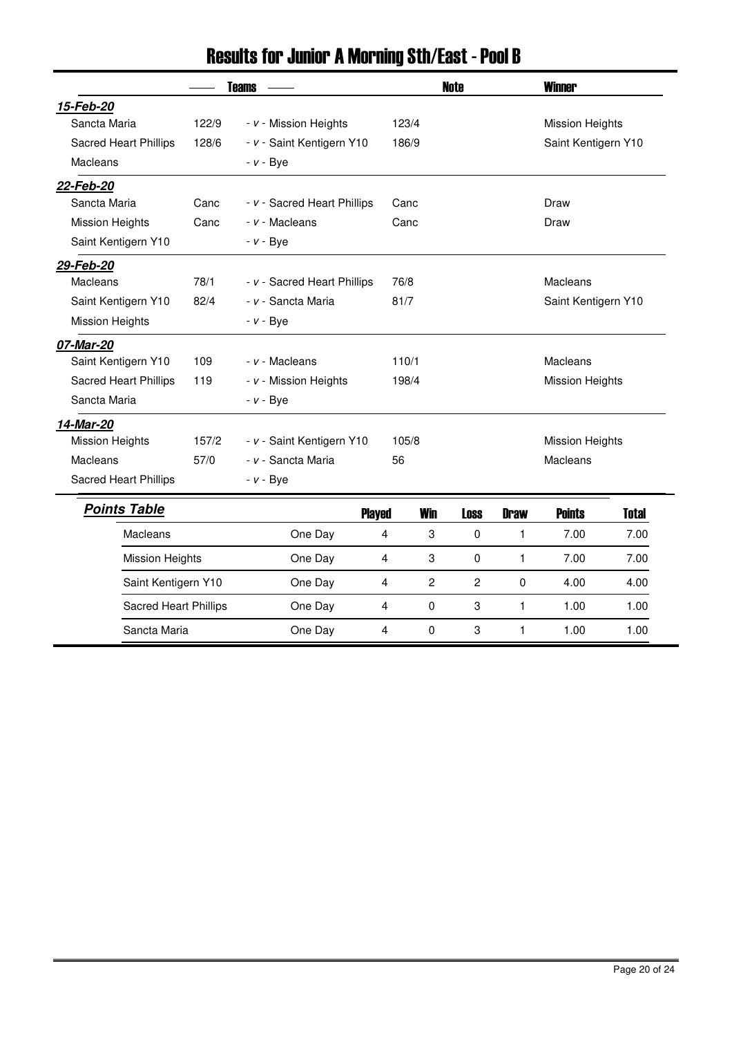# Results for Junior A Morning Sth/East - Pool B

| <b>Teams</b>                 |       |                             |                          | <b>Note</b>    |              | <b>Winner</b>       |                        |              |  |
|------------------------------|-------|-----------------------------|--------------------------|----------------|--------------|---------------------|------------------------|--------------|--|
| 15-Feb-20                    |       |                             |                          |                |              |                     |                        |              |  |
| Sancta Maria                 | 122/9 | - v - Mission Heights       |                          | 123/4          |              |                     | <b>Mission Heights</b> |              |  |
| <b>Sacred Heart Phillips</b> | 128/6 | - v - Saint Kentigern Y10   |                          | 186/9          |              |                     | Saint Kentigern Y10    |              |  |
| Macleans                     |       | $- v - Bye$                 |                          |                |              |                     |                        |              |  |
| 22-Feb-20                    |       |                             |                          |                |              |                     |                        |              |  |
| Sancta Maria                 | Canc  | - v - Sacred Heart Phillips | Canc                     |                |              | Draw                |                        |              |  |
| <b>Mission Heights</b>       | Canc  | - v - Macleans              |                          | Canc           |              |                     | Draw                   |              |  |
| Saint Kentigern Y10          |       | $- v - Bye$                 |                          |                |              |                     |                        |              |  |
| 29-Feb-20                    |       |                             |                          |                |              |                     |                        |              |  |
| Macleans                     | 78/1  | - v - Sacred Heart Phillips | 76/8                     |                |              | <b>Macleans</b>     |                        |              |  |
| Saint Kentigern Y10          | 82/4  | - v - Sancta Maria          | 81/7                     |                |              | Saint Kentigern Y10 |                        |              |  |
| <b>Mission Heights</b>       |       | $- v - Bve$                 |                          |                |              |                     |                        |              |  |
| 07-Mar-20                    |       |                             |                          |                |              |                     |                        |              |  |
| Saint Kentigern Y10          | 109   | - v - Macleans              | 110/1                    |                |              | Macleans            |                        |              |  |
| Sacred Heart Phillips        | 119   | - v - Mission Heights       |                          | 198/4          |              |                     | <b>Mission Heights</b> |              |  |
| Sancta Maria                 |       | $- v - Bye$                 |                          |                |              |                     |                        |              |  |
| 14-Mar-20                    |       |                             |                          |                |              |                     |                        |              |  |
| <b>Mission Heights</b>       | 157/2 | - v - Saint Kentigern Y10   |                          | 105/8          |              |                     | <b>Mission Heights</b> |              |  |
| Macleans                     | 57/0  | - v - Sancta Maria          | 56                       |                |              |                     | Macleans               |              |  |
| Sacred Heart Phillips        |       | $- v - Bye$                 |                          |                |              |                     |                        |              |  |
| <b>Points Table</b>          |       | <b>Played</b>               |                          | <b>Win</b>     | <b>Loss</b>  | <b>Draw</b>         | <b>Points</b>          | <b>Total</b> |  |
| Macleans                     |       | One Day                     | 4                        | 3              | $\mathbf 0$  | 1                   | 7.00                   | 7.00         |  |
| <b>Mission Heights</b>       |       | One Day                     | $\overline{4}$           | 3              | $\mathbf 0$  | 1                   | 7.00                   | 7.00         |  |
| Saint Kentigern Y10          |       | One Day                     | $\overline{4}$           | $\overline{c}$ | $\mathbf{2}$ | $\mathbf 0$         | 4.00                   | 4.00         |  |
| Sacred Heart Phillips        |       | One Day                     | $\overline{4}$           | $\mathbf 0$    | 3            | 1                   | 1.00                   | 1.00         |  |
| Sancta Maria                 |       | One Day                     | 3<br>0<br>1<br>1.00<br>4 |                |              | 1.00                |                        |              |  |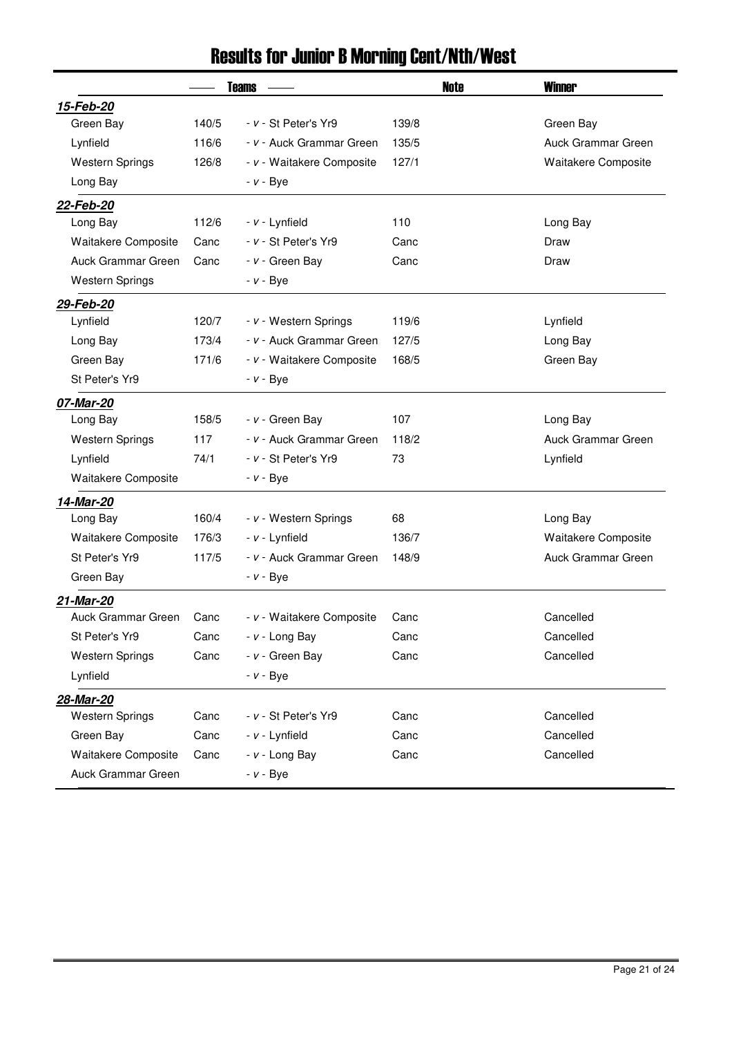### Results for Junior B Morning Cent/Nth/West

|                        |       | <b>Teams</b>              | <b>Note</b> | <b>Winner</b>             |
|------------------------|-------|---------------------------|-------------|---------------------------|
| 15-Feb-20              |       |                           |             |                           |
| Green Bay              | 140/5 | - v - St Peter's Yr9      | 139/8       | Green Bay                 |
| Lynfield               | 116/6 | - v - Auck Grammar Green  | 135/5       | Auck Grammar Green        |
| <b>Western Springs</b> | 126/8 | - v - Waitakere Composite | 127/1       | Waitakere Composite       |
| Long Bay               |       | $- v - Bye$               |             |                           |
| 22-Feb-20              |       |                           |             |                           |
| Long Bay               | 112/6 | - v - Lynfield            | 110         | Long Bay                  |
| Waitakere Composite    | Canc  | - v - St Peter's Yr9      | Canc        | Draw                      |
| Auck Grammar Green     | Canc  | - v - Green Bay           | Canc        | Draw                      |
| <b>Western Springs</b> |       | $- v - Bye$               |             |                           |
| 29-Feb-20              |       |                           |             |                           |
| Lynfield               | 120/7 | - v - Western Springs     | 119/6       | Lynfield                  |
| Long Bay               | 173/4 | - v - Auck Grammar Green  | 127/5       | Long Bay                  |
| Green Bay              | 171/6 | - v - Waitakere Composite | 168/5       | Green Bay                 |
| St Peter's Yr9         |       | $- v - Bye$               |             |                           |
| 07-Mar-20              |       |                           |             |                           |
| Long Bay               | 158/5 | - v - Green Bay           | 107         | Long Bay                  |
| <b>Western Springs</b> | 117   | - v - Auck Grammar Green  | 118/2       | <b>Auck Grammar Green</b> |
| Lynfield               | 74/1  | - v - St Peter's Yr9      | 73          | Lynfield                  |
| Waitakere Composite    |       | $- v - Bye$               |             |                           |
| 14-Mar-20              |       |                           |             |                           |
| Long Bay               | 160/4 | - v - Western Springs     | 68          | Long Bay                  |
| Waitakere Composite    | 176/3 | - v - Lynfield            | 136/7       | Waitakere Composite       |
| St Peter's Yr9         | 117/5 | - v - Auck Grammar Green  | 148/9       | Auck Grammar Green        |
| Green Bay              |       | $- v - Bye$               |             |                           |
| 21-Mar-20              |       |                           |             |                           |
| Auck Grammar Green     | Canc  | - v - Waitakere Composite | Canc        | Cancelled                 |
| St Peter's Yr9         | Canc  | $- v -$ Long Bay          | Canc        | Cancelled                 |
| <b>Western Springs</b> | Canc  | - v - Green Bay           | Canc        | Cancelled                 |
| Lynfield               |       | $- v - Bye$               |             |                           |
| 28-Mar-20              |       |                           |             |                           |
| <b>Western Springs</b> | Canc  | - v - St Peter's Yr9      | Canc        | Cancelled                 |
| Green Bay              | Canc  | - v - Lynfield            | Canc        | Cancelled                 |
| Waitakere Composite    | Canc  | $- v -$ Long Bay          | Canc        | Cancelled                 |
| Auck Grammar Green     |       | $- v - Bye$               |             |                           |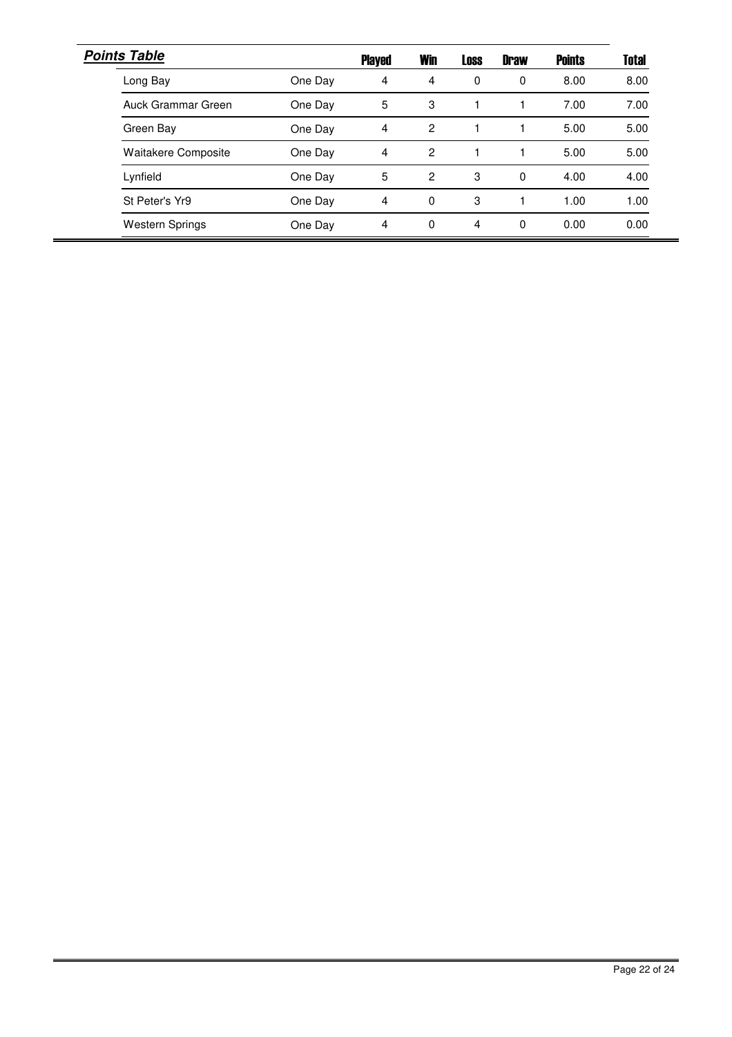| <b>Points Table</b>        |         | <b>Played</b>  | <b>Win</b>    | <b>Loss</b> | <b>Draw</b> | <b>Points</b> | <b>Total</b> |
|----------------------------|---------|----------------|---------------|-------------|-------------|---------------|--------------|
| Long Bay                   | One Day | 4              | 4             | 0           | 0           | 8.00          | 8.00         |
| Auck Grammar Green         | One Day | 5              | 3             |             |             | 7.00          | 7.00         |
| Green Bay                  | One Day | $\overline{4}$ | $\mathcal{P}$ |             |             | 5.00          | 5.00         |
| <b>Waitakere Composite</b> | One Day | 4              | 2             |             |             | 5.00          | 5.00         |
| Lynfield                   | One Day | 5              | 2             | 3           | 0           | 4.00          | 4.00         |
| St Peter's Yr9             | One Day | 4              | 0             | 3           |             | 1.00          | 1.00         |
| <b>Western Springs</b>     | One Day | 4              | 0             | 4           | 0           | 0.00          | 0.00         |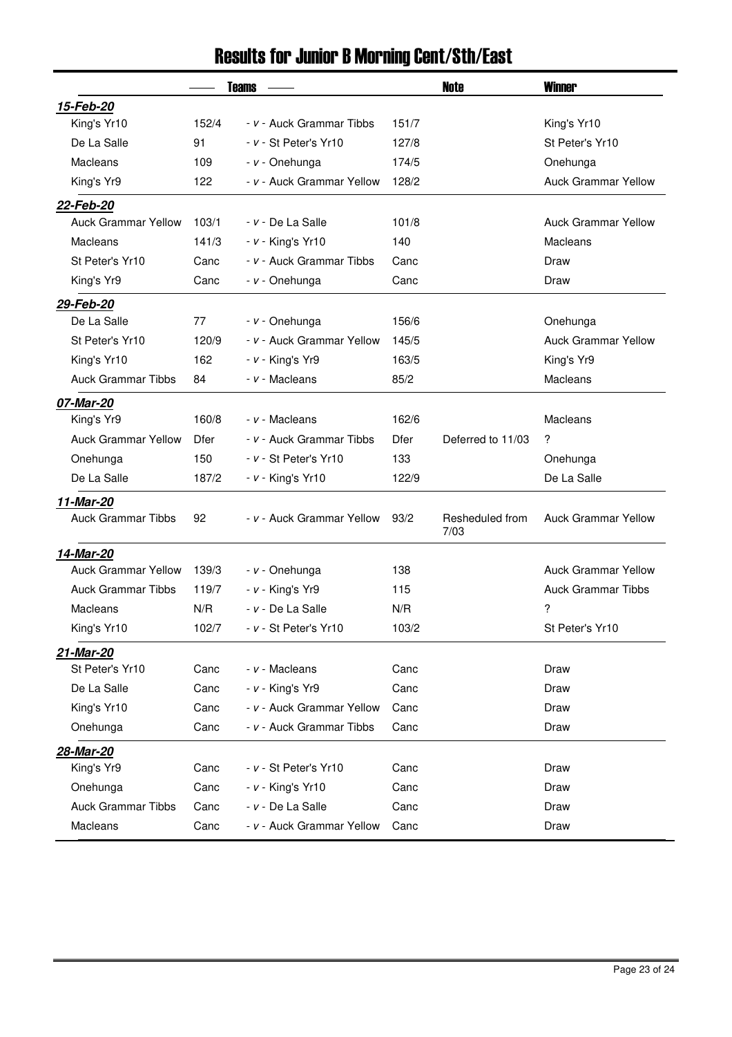# Results for Junior B Morning Cent/Sth/East

|                            |       | <b>Teams</b>              |       | Note                    | <b>Winner</b>              |
|----------------------------|-------|---------------------------|-------|-------------------------|----------------------------|
| 15-Feb-20                  |       |                           |       |                         |                            |
| King's Yr10                | 152/4 | - v - Auck Grammar Tibbs  | 151/7 |                         | King's Yr10                |
| De La Salle                | 91    | $- v - St$ Peter's Yr10   | 127/8 |                         | St Peter's Yr10            |
| Macleans                   | 109   | - v - Onehunga            | 174/5 |                         | Onehunga                   |
| King's Yr9                 | 122   | - v - Auck Grammar Yellow | 128/2 |                         | <b>Auck Grammar Yellow</b> |
| 22-Feb-20                  |       |                           |       |                         |                            |
| <b>Auck Grammar Yellow</b> | 103/1 | - v - De La Salle         | 101/8 |                         | <b>Auck Grammar Yellow</b> |
| Macleans                   | 141/3 | $- v -$ King's Yr10       | 140   |                         | Macleans                   |
| St Peter's Yr10            | Canc  | - v - Auck Grammar Tibbs  | Canc  |                         | Draw                       |
| King's Yr9                 | Canc  | - v - Onehunga            | Canc  |                         | Draw                       |
| 29-Feb-20                  |       |                           |       |                         |                            |
| De La Salle                | 77    | - v - Onehunga            | 156/6 |                         | Onehunga                   |
| St Peter's Yr10            | 120/9 | - v - Auck Grammar Yellow | 145/5 |                         | <b>Auck Grammar Yellow</b> |
| King's Yr10                | 162   | $- v -$ King's Yr9        | 163/5 |                         | King's Yr9                 |
| <b>Auck Grammar Tibbs</b>  | 84    | - v - Macleans            | 85/2  |                         | Macleans                   |
| 07-Mar-20                  |       |                           |       |                         |                            |
| King's Yr9                 | 160/8 | - v - Macleans            | 162/6 |                         | Macleans                   |
| <b>Auck Grammar Yellow</b> | Dfer  | - v - Auck Grammar Tibbs  | Dfer  | Deferred to 11/03       | ?                          |
| Onehunga                   | 150   | - v - St Peter's Yr10     | 133   |                         | Onehunga                   |
| De La Salle                | 187/2 | $- v -$ King's Yr10       | 122/9 |                         | De La Salle                |
| 11-Mar-20                  |       |                           |       |                         |                            |
| <b>Auck Grammar Tibbs</b>  | 92    | - v - Auck Grammar Yellow | 93/2  | Resheduled from<br>7/03 | <b>Auck Grammar Yellow</b> |
| 14-Mar-20                  |       |                           |       |                         |                            |
| <b>Auck Grammar Yellow</b> | 139/3 | - v - Onehunga            | 138   |                         | <b>Auck Grammar Yellow</b> |
| <b>Auck Grammar Tibbs</b>  | 119/7 | $- v -$ King's Yr9        | 115   |                         | <b>Auck Grammar Tibbs</b>  |
| Macleans                   | N/R   | - v - De La Salle         | N/R   |                         | ?                          |
| King's Yr10                | 102/7 | - v - St Peter's Yr10     | 103/2 |                         | St Peter's Yr10            |
| 21-Mar-20                  |       |                           |       |                         |                            |
| St Peter's Yr10            | Canc  | - v - Macleans            | Canc  |                         | Draw                       |
| De La Salle                | Canc  | $- v -$ King's Yr9        | Canc  |                         | Draw                       |
| King's Yr10                | Canc  | - v - Auck Grammar Yellow | Canc  |                         | Draw                       |
| Onehunga                   | Canc  | - v - Auck Grammar Tibbs  | Canc  |                         | Draw                       |
| 28-Mar-20                  |       |                           |       |                         |                            |
| King's Yr9                 | Canc  | - v - St Peter's Yr10     | Canc  |                         | Draw                       |
| Onehunga                   | Canc  | $- v -$ King's Yr10       | Canc  |                         | Draw                       |
| <b>Auck Grammar Tibbs</b>  | Canc  | - v - De La Salle         | Canc  |                         | Draw                       |
| Macleans                   | Canc  | - v - Auck Grammar Yellow | Canc  |                         | Draw                       |